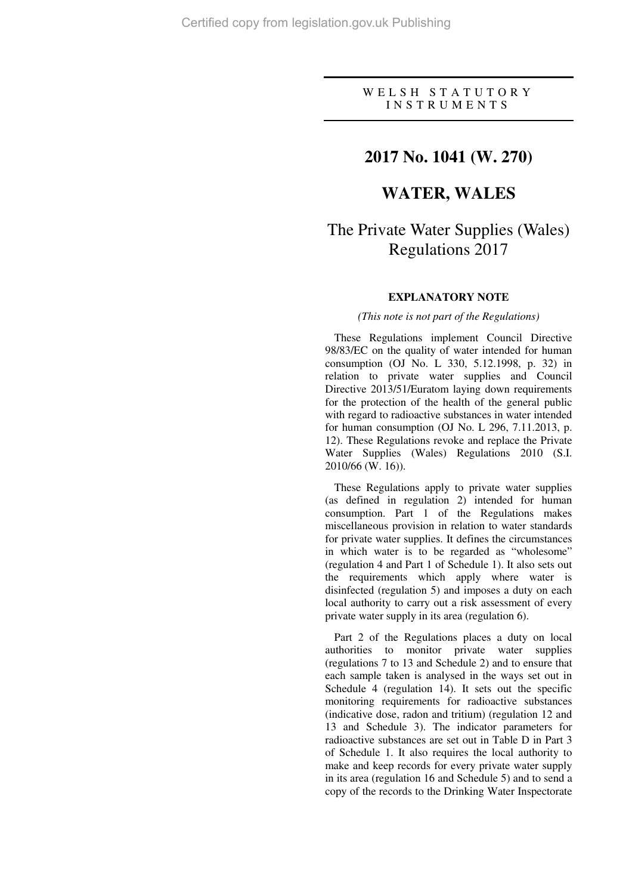# W E L S H S T A T U T O R Y I N S T R U M E N T S

# **2017 No. 1041 (W. 270)**

# **WATER, WALES**

# The Private Water Supplies (Wales) Regulations 2017

## **EXPLANATORY NOTE**

#### *(This note is not part of the Regulations)*

These Regulations implement Council Directive 98/83/EC on the quality of water intended for human consumption (OJ No. L 330, 5.12.1998, p. 32) in relation to private water supplies and Council Directive 2013/51/Euratom laying down requirements for the protection of the health of the general public with regard to radioactive substances in water intended for human consumption (OJ No. L 296, 7.11.2013, p. 12). These Regulations revoke and replace the Private Water Supplies (Wales) Regulations 2010 (S.I. 2010/66 (W. 16)).

These Regulations apply to private water supplies (as defined in regulation 2) intended for human consumption. Part 1 of the Regulations makes miscellaneous provision in relation to water standards for private water supplies. It defines the circumstances in which water is to be regarded as "wholesome" (regulation 4 and Part 1 of Schedule 1). It also sets out the requirements which apply where water is disinfected (regulation 5) and imposes a duty on each local authority to carry out a risk assessment of every private water supply in its area (regulation 6).

Part 2 of the Regulations places a duty on local authorities to monitor private water supplies (regulations 7 to 13 and Schedule 2) and to ensure that each sample taken is analysed in the ways set out in Schedule 4 (regulation 14). It sets out the specific monitoring requirements for radioactive substances (indicative dose, radon and tritium) (regulation 12 and 13 and Schedule 3). The indicator parameters for radioactive substances are set out in Table D in Part 3 of Schedule 1. It also requires the local authority to make and keep records for every private water supply in its area (regulation 16 and Schedule 5) and to send a copy of the records to the Drinking Water Inspectorate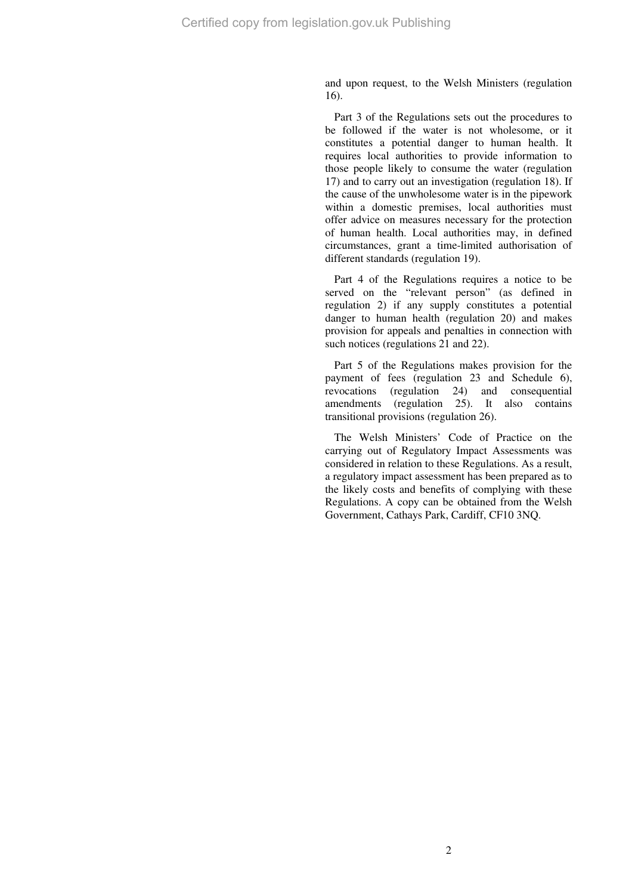and upon request, to the Welsh Ministers (regulation 16).

Part 3 of the Regulations sets out the procedures to be followed if the water is not wholesome, or it constitutes a potential danger to human health. It requires local authorities to provide information to those people likely to consume the water (regulation 17) and to carry out an investigation (regulation 18). If the cause of the unwholesome water is in the pipework within a domestic premises, local authorities must offer advice on measures necessary for the protection of human health. Local authorities may, in defined circumstances, grant a time-limited authorisation of different standards (regulation 19).

Part 4 of the Regulations requires a notice to be served on the "relevant person" (as defined in regulation 2) if any supply constitutes a potential danger to human health (regulation 20) and makes provision for appeals and penalties in connection with such notices (regulations 21 and 22).

Part 5 of the Regulations makes provision for the payment of fees (regulation 23 and Schedule 6), revocations (regulation 24) and consequential amendments (regulation 25). It also contains transitional provisions (regulation 26).

The Welsh Ministers' Code of Practice on the carrying out of Regulatory Impact Assessments was considered in relation to these Regulations. As a result, a regulatory impact assessment has been prepared as to the likely costs and benefits of complying with these Regulations. A copy can be obtained from the Welsh Government, Cathays Park, Cardiff, CF10 3NQ.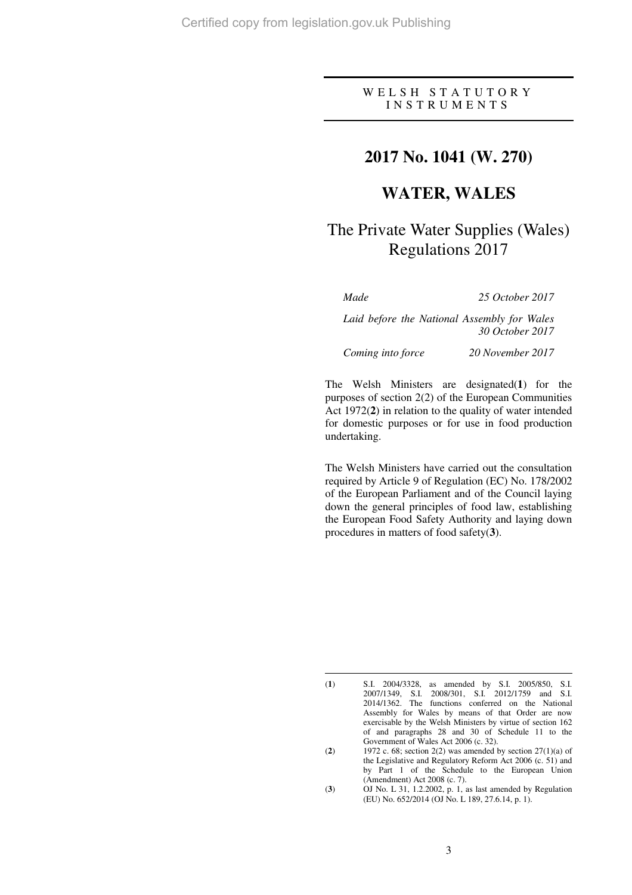# W E L S H S T A T U T O R Y I N S T R U M E N T S

# **2017 No. 1041 (W. 270)**

# **WATER, WALES**

# The Private Water Supplies (Wales) Regulations 2017

 $\overline{a}$ 

*Made 25 October 2017* 

*Laid before the National Assembly for Wales 30 October 2017* 

*Coming into force 20 November 2017* 

The Welsh Ministers are designated(**1**) for the purposes of section 2(2) of the European Communities Act 1972(**2**) in relation to the quality of water intended for domestic purposes or for use in food production undertaking.

The Welsh Ministers have carried out the consultation required by Article 9 of Regulation (EC) No. 178/2002 of the European Parliament and of the Council laying down the general principles of food law, establishing the European Food Safety Authority and laying down procedures in matters of food safety(**3**).

<sup>(</sup>**1**) S.I. 2004/3328, as amended by S.I. 2005/850, S.I. 2007/1349, S.I. 2008/301, S.I. 2012/1759 and S.I. 2014/1362. The functions conferred on the National Assembly for Wales by means of that Order are now exercisable by the Welsh Ministers by virtue of section 162 of and paragraphs 28 and 30 of Schedule 11 to the Government of Wales Act 2006 (c. 32).

<sup>(</sup>**2**) 1972 c. 68; section 2(2) was amended by section 27(1)(a) of the Legislative and Regulatory Reform Act 2006 (c. 51) and by Part 1 of the Schedule to the European Union (Amendment) Act 2008 (c. 7).

<sup>(</sup>**3**) OJ No. L 31, 1.2.2002, p. 1, as last amended by Regulation (EU) No. 652/2014 (OJ No. L 189, 27.6.14, p. 1).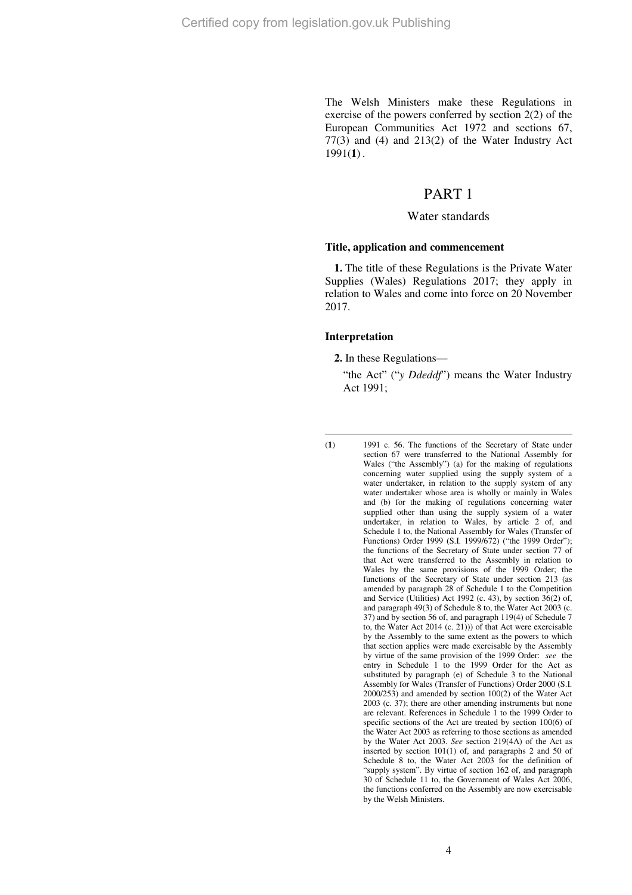The Welsh Ministers make these Regulations in exercise of the powers conferred by section 2(2) of the European Communities Act 1972 and sections 67, 77(3) and (4) and 213(2) of the Water Industry Act 1991(**1**) .

# PART 1

#### Water standards

#### **Title, application and commencement**

**1.** The title of these Regulations is the Private Water Supplies (Wales) Regulations 2017; they apply in relation to Wales and come into force on 20 November 2017.

#### **Interpretation**

**2.** In these Regulations—

"the Act" ("*y Ddeddf*") means the Water Industry Act 1991;

 $\overline{a}$ 

<sup>(</sup>**1**) 1991 c. 56. The functions of the Secretary of State under section 67 were transferred to the National Assembly for Wales ("the Assembly") (a) for the making of regulations concerning water supplied using the supply system of a water undertaker, in relation to the supply system of any water undertaker whose area is wholly or mainly in Wales and (b) for the making of regulations concerning water supplied other than using the supply system of a water undertaker, in relation to Wales, by article 2 of, and Schedule 1 to, the National Assembly for Wales (Transfer of Functions) Order 1999 (S.I. 1999/672) ("the 1999 Order"); the functions of the Secretary of State under section 77 of that Act were transferred to the Assembly in relation to Wales by the same provisions of the 1999 Order; the functions of the Secretary of State under section 213 (as amended by paragraph 28 of Schedule 1 to the Competition and Service (Utilities) Act 1992 (c. 43), by section 36(2) of, and paragraph 49(3) of Schedule 8 to, the Water Act 2003 (c. 37) and by section 56 of, and paragraph 119(4) of Schedule 7 to, the Water Act  $2014$  (c. 21))) of that Act were exercisable by the Assembly to the same extent as the powers to which that section applies were made exercisable by the Assembly by virtue of the same provision of the 1999 Order: *see* the entry in Schedule 1 to the 1999 Order for the Act as substituted by paragraph (e) of Schedule 3 to the National Assembly for Wales (Transfer of Functions) Order 2000 (S.I. 2000/253) and amended by section 100(2) of the Water Act 2003 (c. 37); there are other amending instruments but none are relevant. References in Schedule 1 to the 1999 Order to specific sections of the Act are treated by section 100(6) of the Water Act 2003 as referring to those sections as amended by the Water Act 2003. *See* section 219(4A) of the Act as inserted by section 101(1) of, and paragraphs 2 and 50 of Schedule 8 to, the Water Act 2003 for the definition of "supply system". By virtue of section 162 of, and paragraph 30 of Schedule 11 to, the Government of Wales Act 2006, the functions conferred on the Assembly are now exercisable by the Welsh Ministers.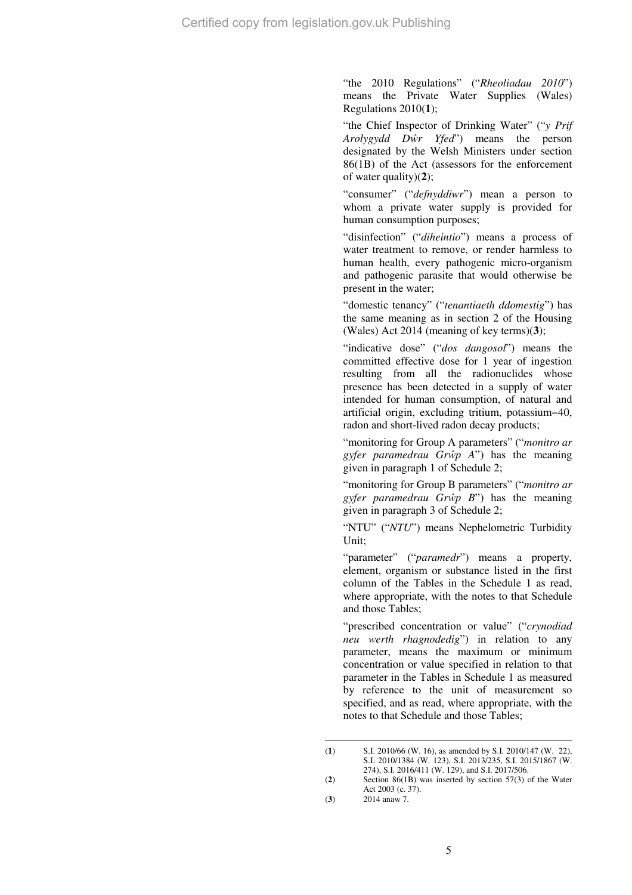"the 2010 Regulations" ("*Rheoliadau 2010*") means the Private Water Supplies (Wales) Regulations 2010(**1**);

"the Chief Inspector of Drinking Water" ("*y Prif Arolygydd Dŵr Yfed*") means the person designated by the Welsh Ministers under section 86(1B) of the Act (assessors for the enforcement of water quality)(**2**);

"consumer" ("*defnyddiwr*") mean a person to whom a private water supply is provided for human consumption purposes;

"disinfection" ("*diheintio*") means a process of water treatment to remove, or render harmless to human health, every pathogenic micro-organism and pathogenic parasite that would otherwise be present in the water;

"domestic tenancy" ("*tenantiaeth ddomestig*") has the same meaning as in section 2 of the Housing (Wales) Act 2014 (meaning of key terms)(**3**);

"indicative dose" ("*dos dangosol*") means the committed effective dose for 1 year of ingestion resulting from all the radionuclides whose presence has been detected in a supply of water intended for human consumption, of natural and artificial origin, excluding tritium, potassium−40, radon and short-lived radon decay products;

"monitoring for Group A parameters" ("*monitro ar gyfer paramedrau Grŵp A*") has the meaning given in paragraph 1 of Schedule 2;

"monitoring for Group B parameters" ("*monitro ar gyfer paramedrau Grŵp B*") has the meaning given in paragraph 3 of Schedule 2;

"NTU" ("*NTU*") means Nephelometric Turbidity Unit;

"parameter" ("*paramedr*") means a property, element, organism or substance listed in the first column of the Tables in the Schedule 1 as read, where appropriate, with the notes to that Schedule and those Tables;

"prescribed concentration or value" ("*crynodiad neu werth rhagnodedig*") in relation to any parameter, means the maximum or minimum concentration or value specified in relation to that parameter in the Tables in Schedule 1 as measured by reference to the unit of measurement so specified, and as read, where appropriate, with the notes to that Schedule and those Tables;

 $\overline{a}$ (**1**) S.I. 2010/66 (W. 16), as amended by S.I. 2010/147 (W. 22), S.I. 2010/1384 (W. 123), S.I. 2013/235, S.I. 2015/1867 (W. 274), S.I. 2016/411 (W. 129), and S.I. 2017/506.

<sup>(</sup>**2**) Section 86(1B) was inserted by section 57(3) of the Water Act 2003 (c. 37).

<sup>(</sup>**3**) 2014 anaw 7.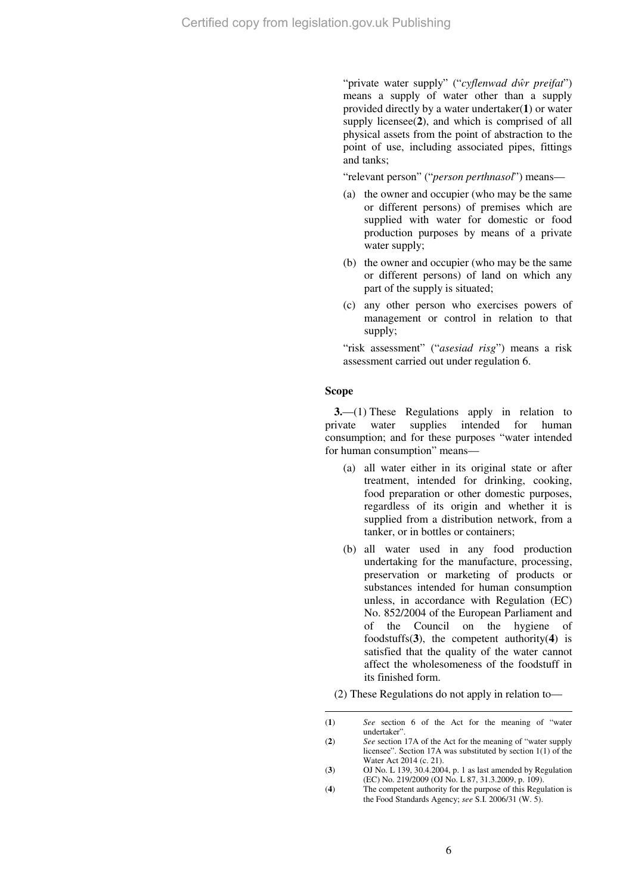"private water supply" ("*cyflenwad dŵr preifat*") means a supply of water other than a supply provided directly by a water undertaker(**1**) or water supply licensee(**2**), and which is comprised of all physical assets from the point of abstraction to the point of use, including associated pipes, fittings and tanks;

"relevant person" ("*person perthnasol*") means—

- (a) the owner and occupier (who may be the same or different persons) of premises which are supplied with water for domestic or food production purposes by means of a private water supply;
- (b) the owner and occupier (who may be the same or different persons) of land on which any part of the supply is situated;
- (c) any other person who exercises powers of management or control in relation to that supply;

"risk assessment" ("*asesiad risg*") means a risk assessment carried out under regulation 6.

#### **Scope**

 $\overline{a}$ 

**3.**—(1) These Regulations apply in relation to private water supplies intended for human consumption; and for these purposes "water intended for human consumption" means—

- (a) all water either in its original state or after treatment, intended for drinking, cooking, food preparation or other domestic purposes, regardless of its origin and whether it is supplied from a distribution network, from a tanker, or in bottles or containers;
- (b) all water used in any food production undertaking for the manufacture, processing, preservation or marketing of products or substances intended for human consumption unless, in accordance with Regulation (EC) No. 852/2004 of the European Parliament and of the Council on the hygiene of foodstuffs(**3**), the competent authority(**4**) is satisfied that the quality of the water cannot affect the wholesomeness of the foodstuff in its finished form.

(2) These Regulations do not apply in relation to—

<sup>(</sup>**1**) *See* section 6 of the Act for the meaning of "water undertaker".

<sup>(</sup>**2**) *See* section 17A of the Act for the meaning of "water supply licensee". Section 17A was substituted by section 1(1) of the Water Act 2014 (c. 21).

<sup>(</sup>**3**) OJ No. L 139, 30.4.2004, p. 1 as last amended by Regulation (EC) No. 219/2009 (OJ No. L 87, 31.3.2009, p. 109).

<sup>(</sup>**4**) The competent authority for the purpose of this Regulation is the Food Standards Agency; *see* S.I. 2006/31 (W. 5).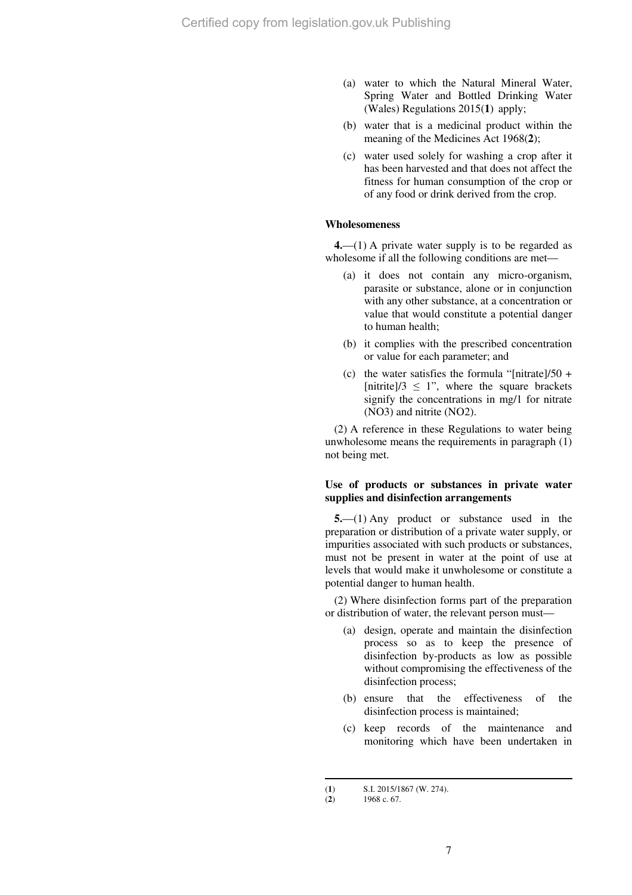- (a) water to which the Natural Mineral Water, Spring Water and Bottled Drinking Water (Wales) Regulations 2015(**1**) apply;
- (b) water that is a medicinal product within the meaning of the Medicines Act 1968(**2**);
- (c) water used solely for washing a crop after it has been harvested and that does not affect the fitness for human consumption of the crop or of any food or drink derived from the crop.

## **Wholesomeness**

**4.**—(1) A private water supply is to be regarded as wholesome if all the following conditions are met—

- (a) it does not contain any micro-organism, parasite or substance, alone or in conjunction with any other substance, at a concentration or value that would constitute a potential danger to human health;
- (b) it complies with the prescribed concentration or value for each parameter; and
- (c) the water satisfies the formula "[nitrate]/50 + [nitrite]/3  $\leq$  1", where the square brackets signify the concentrations in mg/1 for nitrate (NO3) and nitrite (NO2).

(2) A reference in these Regulations to water being unwholesome means the requirements in paragraph (1) not being met.

#### **Use of products or substances in private water supplies and disinfection arrangements**

**5.**—(1) Any product or substance used in the preparation or distribution of a private water supply, or impurities associated with such products or substances, must not be present in water at the point of use at levels that would make it unwholesome or constitute a potential danger to human health.

(2) Where disinfection forms part of the preparation or distribution of water, the relevant person must—

- (a) design, operate and maintain the disinfection process so as to keep the presence of disinfection by-products as low as possible without compromising the effectiveness of the disinfection process;
- (b) ensure that the effectiveness of the disinfection process is maintained;
- (c) keep records of the maintenance and monitoring which have been undertaken in

 $\overline{a}$ 

<sup>(</sup>**1**) S.I. 2015/1867 (W. 274).<br>(**2**) 1968 c. 67.

<sup>(</sup>**2**) 1968 c. 67.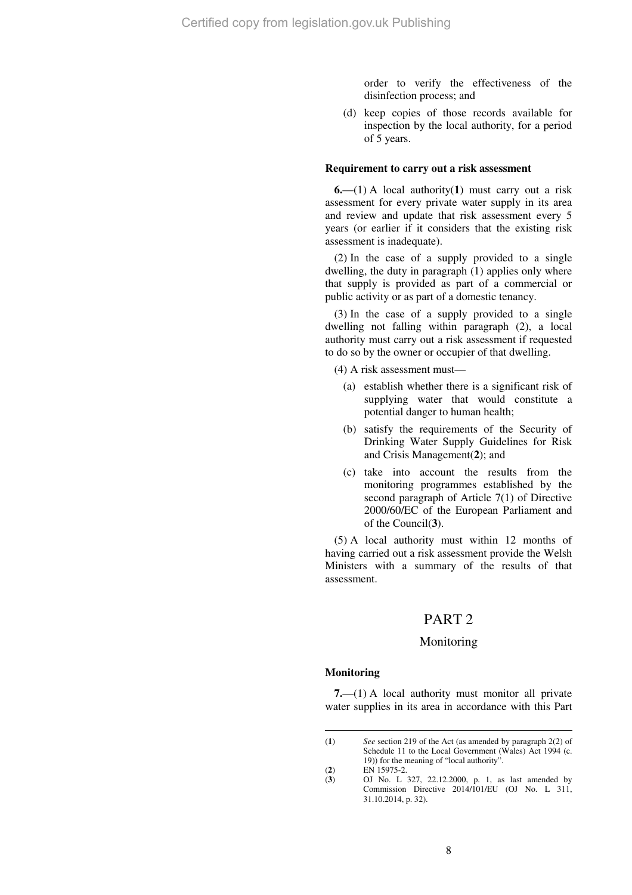order to verify the effectiveness of the disinfection process; and

(d) keep copies of those records available for inspection by the local authority, for a period of 5 years.

#### **Requirement to carry out a risk assessment**

**6.**—(1) A local authority(**1**) must carry out a risk assessment for every private water supply in its area and review and update that risk assessment every 5 years (or earlier if it considers that the existing risk assessment is inadequate).

(2) In the case of a supply provided to a single dwelling, the duty in paragraph (1) applies only where that supply is provided as part of a commercial or public activity or as part of a domestic tenancy.

(3) In the case of a supply provided to a single dwelling not falling within paragraph (2), a local authority must carry out a risk assessment if requested to do so by the owner or occupier of that dwelling.

(4) A risk assessment must—

- (a) establish whether there is a significant risk of supplying water that would constitute a potential danger to human health;
- (b) satisfy the requirements of the Security of Drinking Water Supply Guidelines for Risk and Crisis Management(**2**); and
- (c) take into account the results from the monitoring programmes established by the second paragraph of Article 7(1) of Directive 2000/60/EC of the European Parliament and of the Council(**3**).

(5) A local authority must within 12 months of having carried out a risk assessment provide the Welsh Ministers with a summary of the results of that assessment.

# PART 2

#### Monitoring

#### **Monitoring**

 $\overline{a}$ 

**7.**—(1) A local authority must monitor all private water supplies in its area in accordance with this Part

<sup>(</sup>**1**) *See* section 219 of the Act (as amended by paragraph 2(2) of Schedule 11 to the Local Government (Wales) Act 1994 (c. 19)) for the meaning of "local authority".

<sup>(2)</sup> EN 15975-2.<br>
(3) OJ No. L

<sup>(</sup>**3**) OJ No. L 327, 22.12.2000, p. 1, as last amended by Commission Directive 2014/101/EU (OJ No. L 311, 31.10.2014, p. 32).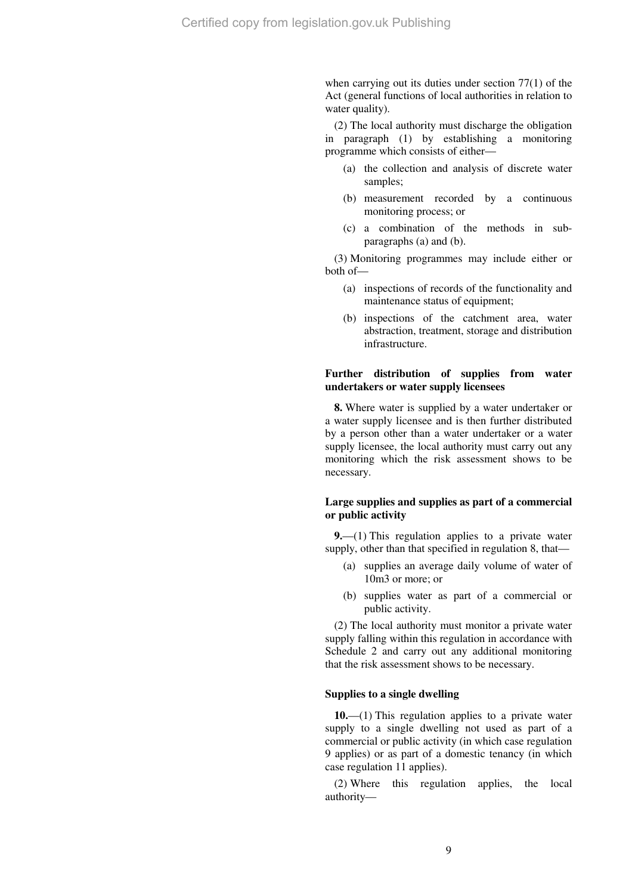when carrying out its duties under section 77(1) of the Act (general functions of local authorities in relation to water quality).

(2) The local authority must discharge the obligation in paragraph (1) by establishing a monitoring programme which consists of either—

- (a) the collection and analysis of discrete water samples;
- (b) measurement recorded by a continuous monitoring process; or
- (c) a combination of the methods in subparagraphs (a) and (b).

(3) Monitoring programmes may include either or both of—

- (a) inspections of records of the functionality and maintenance status of equipment:
- (b) inspections of the catchment area, water abstraction, treatment, storage and distribution infrastructure.

#### **Further distribution of supplies from water undertakers or water supply licensees**

**8.** Where water is supplied by a water undertaker or a water supply licensee and is then further distributed by a person other than a water undertaker or a water supply licensee, the local authority must carry out any monitoring which the risk assessment shows to be necessary.

#### **Large supplies and supplies as part of a commercial or public activity**

**9.**—(1) This regulation applies to a private water supply, other than that specified in regulation 8, that—

- (a) supplies an average daily volume of water of 10m3 or more; or
- (b) supplies water as part of a commercial or public activity.

(2) The local authority must monitor a private water supply falling within this regulation in accordance with Schedule 2 and carry out any additional monitoring that the risk assessment shows to be necessary.

# **Supplies to a single dwelling**

**10.**—(1) This regulation applies to a private water supply to a single dwelling not used as part of a commercial or public activity (in which case regulation 9 applies) or as part of a domestic tenancy (in which case regulation 11 applies).

(2) Where this regulation applies, the local authority—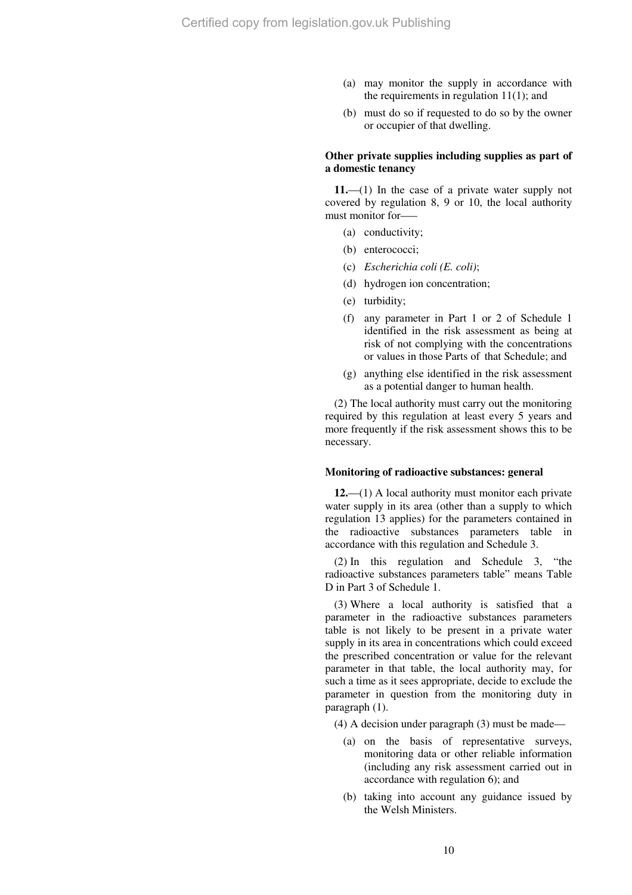- (a) may monitor the supply in accordance with the requirements in regulation  $11(1)$ ; and
- (b) must do so if requested to do so by the owner or occupier of that dwelling.

#### **Other private supplies including supplies as part of a domestic tenancy**

**11.**—(1) In the case of a private water supply not covered by regulation 8, 9 or 10, the local authority must monitor for—–

- (a) conductivity;
- (b) enterococci;
- (c) *Escherichia coli (E. coli)*;
- (d) hydrogen ion concentration;
- (e) turbidity;
- (f) any parameter in Part 1 or 2 of Schedule 1 identified in the risk assessment as being at risk of not complying with the concentrations or values in those Parts of that Schedule; and
- (g) anything else identified in the risk assessment as a potential danger to human health.

(2) The local authority must carry out the monitoring required by this regulation at least every 5 years and more frequently if the risk assessment shows this to be necessary.

#### **Monitoring of radioactive substances: general**

**12.**—(1) A local authority must monitor each private water supply in its area (other than a supply to which regulation 13 applies) for the parameters contained in the radioactive substances parameters table in accordance with this regulation and Schedule 3.

(2) In this regulation and Schedule 3, "the radioactive substances parameters table" means Table D in Part 3 of Schedule 1.

(3) Where a local authority is satisfied that a parameter in the radioactive substances parameters table is not likely to be present in a private water supply in its area in concentrations which could exceed the prescribed concentration or value for the relevant parameter in that table, the local authority may, for such a time as it sees appropriate, decide to exclude the parameter in question from the monitoring duty in paragraph (1).

(4) A decision under paragraph (3) must be made—

- (a) on the basis of representative surveys, monitoring data or other reliable information (including any risk assessment carried out in accordance with regulation 6); and
- (b) taking into account any guidance issued by the Welsh Ministers.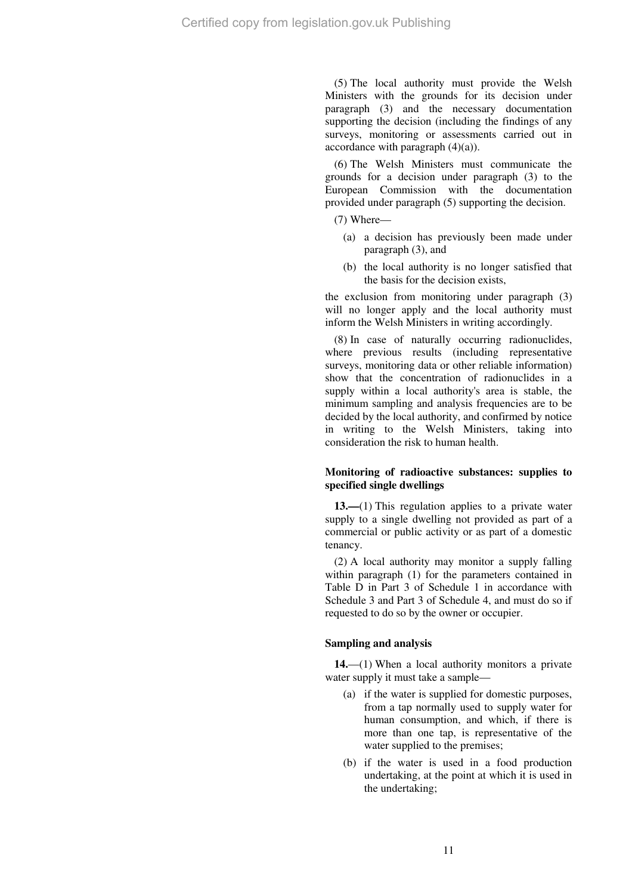(5) The local authority must provide the Welsh Ministers with the grounds for its decision under paragraph (3) and the necessary documentation supporting the decision (including the findings of any surveys, monitoring or assessments carried out in accordance with paragraph (4)(a)).

(6) The Welsh Ministers must communicate the grounds for a decision under paragraph (3) to the European Commission with the documentation provided under paragraph (5) supporting the decision.

(7) Where—

- (a) a decision has previously been made under paragraph (3), and
- (b) the local authority is no longer satisfied that the basis for the decision exists,

the exclusion from monitoring under paragraph (3) will no longer apply and the local authority must inform the Welsh Ministers in writing accordingly.

(8) In case of naturally occurring radionuclides, where previous results (including representative surveys, monitoring data or other reliable information) show that the concentration of radionuclides in a supply within a local authority's area is stable, the minimum sampling and analysis frequencies are to be decided by the local authority, and confirmed by notice in writing to the Welsh Ministers, taking into consideration the risk to human health.

## **Monitoring of radioactive substances: supplies to specified single dwellings**

**13.—**(1) This regulation applies to a private water supply to a single dwelling not provided as part of a commercial or public activity or as part of a domestic tenancy.

(2) A local authority may monitor a supply falling within paragraph (1) for the parameters contained in Table D in Part 3 of Schedule 1 in accordance with Schedule 3 and Part 3 of Schedule 4, and must do so if requested to do so by the owner or occupier.

#### **Sampling and analysis**

**14.**—(1) When a local authority monitors a private water supply it must take a sample—

- (a) if the water is supplied for domestic purposes, from a tap normally used to supply water for human consumption, and which, if there is more than one tap, is representative of the water supplied to the premises;
- (b) if the water is used in a food production undertaking, at the point at which it is used in the undertaking;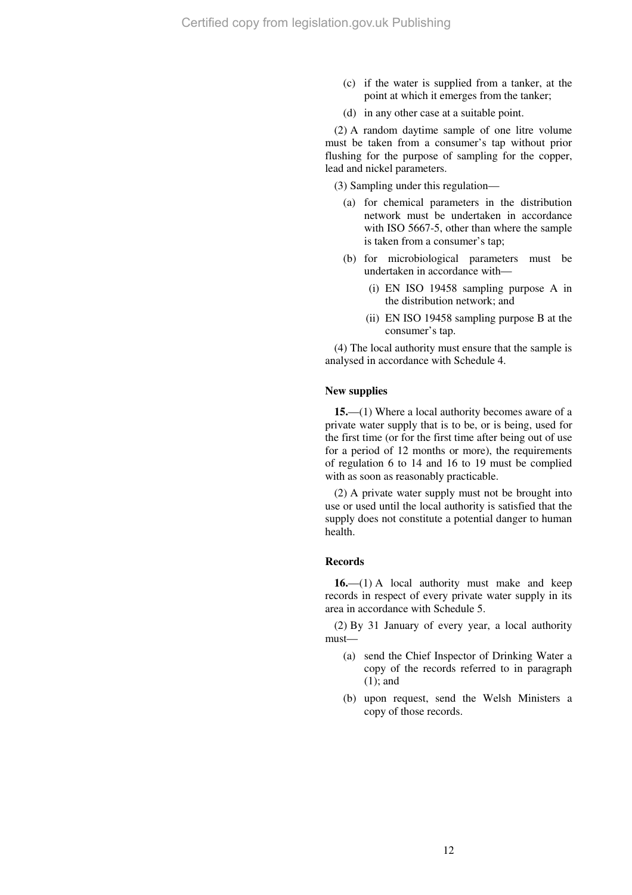- (c) if the water is supplied from a tanker, at the point at which it emerges from the tanker;
- (d) in any other case at a suitable point.

(2) A random daytime sample of one litre volume must be taken from a consumer's tap without prior flushing for the purpose of sampling for the copper, lead and nickel parameters.

(3) Sampling under this regulation—

- (a) for chemical parameters in the distribution network must be undertaken in accordance with ISO 5667-5, other than where the sample is taken from a consumer's tap;
- (b) for microbiological parameters must be undertaken in accordance with—
	- (i) EN ISO 19458 sampling purpose A in the distribution network; and
	- (ii) EN ISO 19458 sampling purpose B at the consumer's tap.

(4) The local authority must ensure that the sample is analysed in accordance with Schedule 4.

#### **New supplies**

**15.**—(1) Where a local authority becomes aware of a private water supply that is to be, or is being, used for the first time (or for the first time after being out of use for a period of 12 months or more), the requirements of regulation 6 to 14 and 16 to 19 must be complied with as soon as reasonably practicable.

(2) A private water supply must not be brought into use or used until the local authority is satisfied that the supply does not constitute a potential danger to human health.

#### **Records**

**16.**—(1) A local authority must make and keep records in respect of every private water supply in its area in accordance with Schedule 5.

(2) By 31 January of every year, a local authority must—

- (a) send the Chief Inspector of Drinking Water a copy of the records referred to in paragraph (1); and
- (b) upon request, send the Welsh Ministers a copy of those records.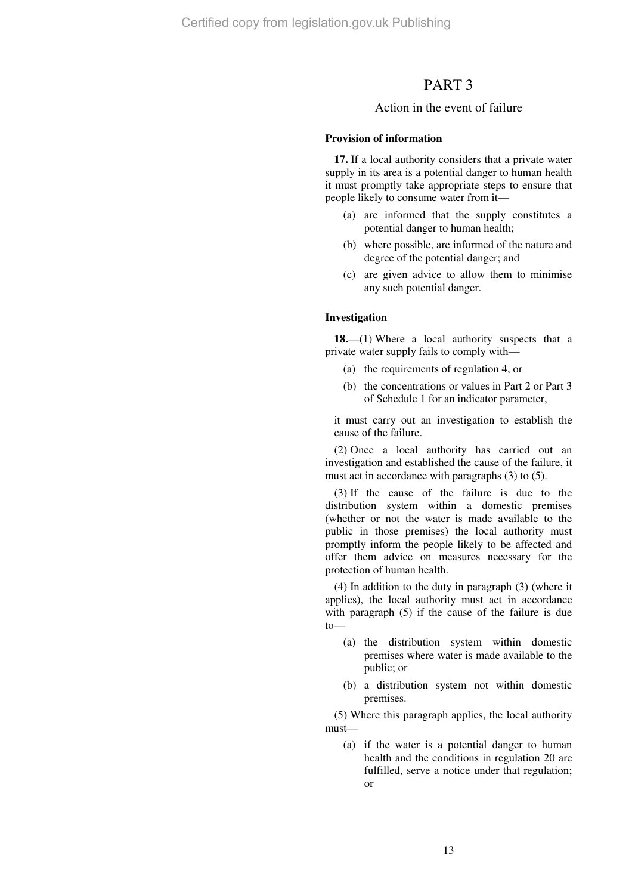# PART 3

## Action in the event of failure

#### **Provision of information**

**17.** If a local authority considers that a private water supply in its area is a potential danger to human health it must promptly take appropriate steps to ensure that people likely to consume water from it—

- (a) are informed that the supply constitutes a potential danger to human health;
- (b) where possible, are informed of the nature and degree of the potential danger; and
- (c) are given advice to allow them to minimise any such potential danger.

#### **Investigation**

**18.**—(1) Where a local authority suspects that a private water supply fails to comply with—

- (a) the requirements of regulation 4, or
- (b) the concentrations or values in Part 2 or Part 3 of Schedule 1 for an indicator parameter,

it must carry out an investigation to establish the cause of the failure.

(2) Once a local authority has carried out an investigation and established the cause of the failure, it must act in accordance with paragraphs (3) to (5).

(3) If the cause of the failure is due to the distribution system within a domestic premises (whether or not the water is made available to the public in those premises) the local authority must promptly inform the people likely to be affected and offer them advice on measures necessary for the protection of human health.

(4) In addition to the duty in paragraph (3) (where it applies), the local authority must act in accordance with paragraph (5) if the cause of the failure is due to—

- (a) the distribution system within domestic premises where water is made available to the public; or
- (b) a distribution system not within domestic premises.

(5) Where this paragraph applies, the local authority must—

(a) if the water is a potential danger to human health and the conditions in regulation 20 are fulfilled, serve a notice under that regulation; or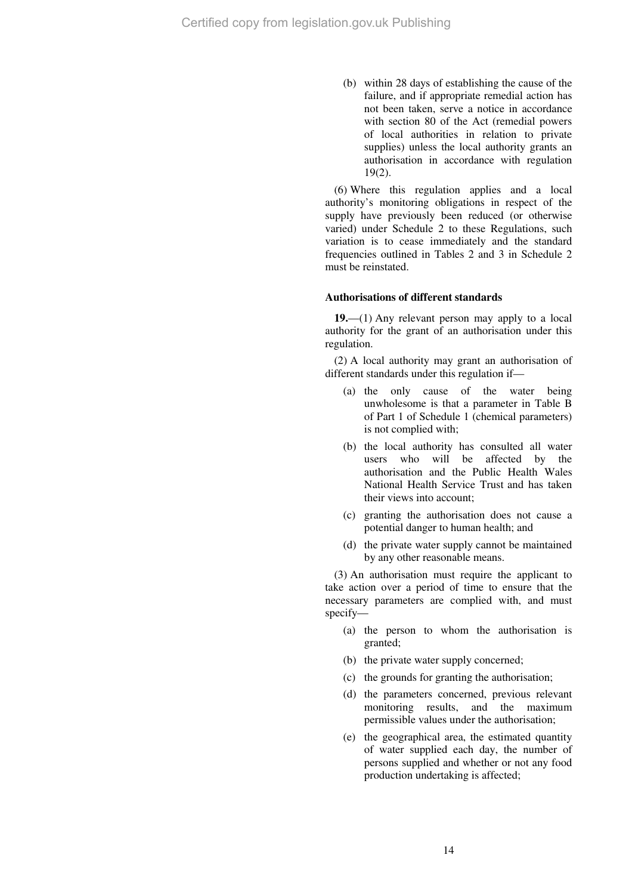(b) within 28 days of establishing the cause of the failure, and if appropriate remedial action has not been taken, serve a notice in accordance with section 80 of the Act (remedial powers of local authorities in relation to private supplies) unless the local authority grants an authorisation in accordance with regulation 19(2).

(6) Where this regulation applies and a local authority's monitoring obligations in respect of the supply have previously been reduced (or otherwise varied) under Schedule 2 to these Regulations, such variation is to cease immediately and the standard frequencies outlined in Tables 2 and 3 in Schedule 2 must be reinstated.

## **Authorisations of different standards**

**19.**—(1) Any relevant person may apply to a local authority for the grant of an authorisation under this regulation.

(2) A local authority may grant an authorisation of different standards under this regulation if—

- (a) the only cause of the water being unwholesome is that a parameter in Table B of Part 1 of Schedule 1 (chemical parameters) is not complied with;
- (b) the local authority has consulted all water users who will be affected by the authorisation and the Public Health Wales National Health Service Trust and has taken their views into account;
- (c) granting the authorisation does not cause a potential danger to human health; and
- (d) the private water supply cannot be maintained by any other reasonable means.

(3) An authorisation must require the applicant to take action over a period of time to ensure that the necessary parameters are complied with, and must specify—

- (a) the person to whom the authorisation is granted;
- (b) the private water supply concerned;
- (c) the grounds for granting the authorisation;
- (d) the parameters concerned, previous relevant monitoring results, and the maximum permissible values under the authorisation;
- (e) the geographical area, the estimated quantity of water supplied each day, the number of persons supplied and whether or not any food production undertaking is affected;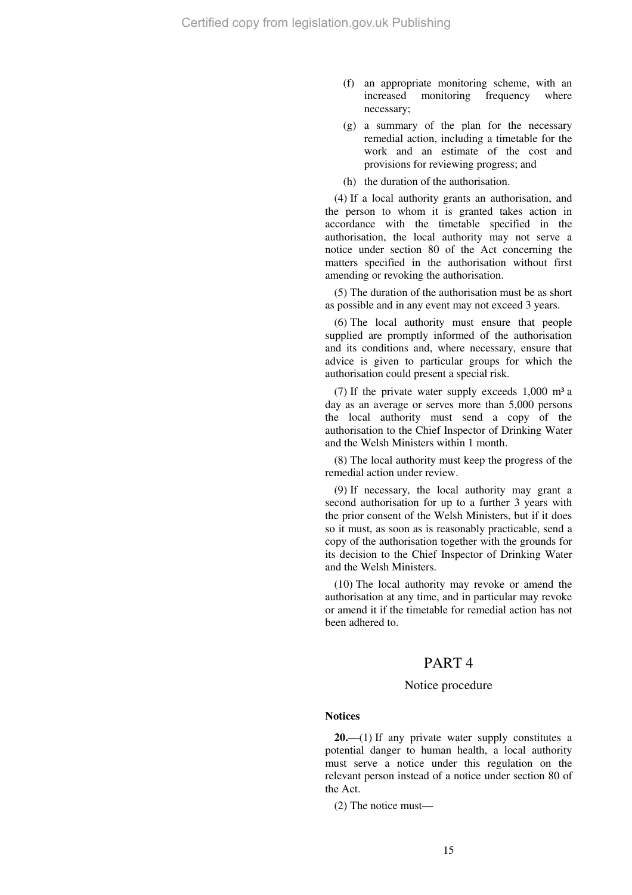- (f) an appropriate monitoring scheme, with an increased monitoring frequency where necessary;
- (g) a summary of the plan for the necessary remedial action, including a timetable for the work and an estimate of the cost and provisions for reviewing progress; and
- (h) the duration of the authorisation.

(4) If a local authority grants an authorisation, and the person to whom it is granted takes action in accordance with the timetable specified in the authorisation, the local authority may not serve a notice under section 80 of the Act concerning the matters specified in the authorisation without first amending or revoking the authorisation.

(5) The duration of the authorisation must be as short as possible and in any event may not exceed 3 years.

(6) The local authority must ensure that people supplied are promptly informed of the authorisation and its conditions and, where necessary, ensure that advice is given to particular groups for which the authorisation could present a special risk.

(7) If the private water supply exceeds  $1,000$  m<sup>3</sup> a day as an average or serves more than 5,000 persons the local authority must send a copy of the authorisation to the Chief Inspector of Drinking Water and the Welsh Ministers within 1 month.

(8) The local authority must keep the progress of the remedial action under review.

(9) If necessary, the local authority may grant a second authorisation for up to a further 3 years with the prior consent of the Welsh Ministers, but if it does so it must, as soon as is reasonably practicable, send a copy of the authorisation together with the grounds for its decision to the Chief Inspector of Drinking Water and the Welsh Ministers.

(10) The local authority may revoke or amend the authorisation at any time, and in particular may revoke or amend it if the timetable for remedial action has not been adhered to.

# PART 4

## Notice procedure

#### **Notices**

**20.**—(1) If any private water supply constitutes a potential danger to human health, a local authority must serve a notice under this regulation on the relevant person instead of a notice under section 80 of the Act.

(2) The notice must—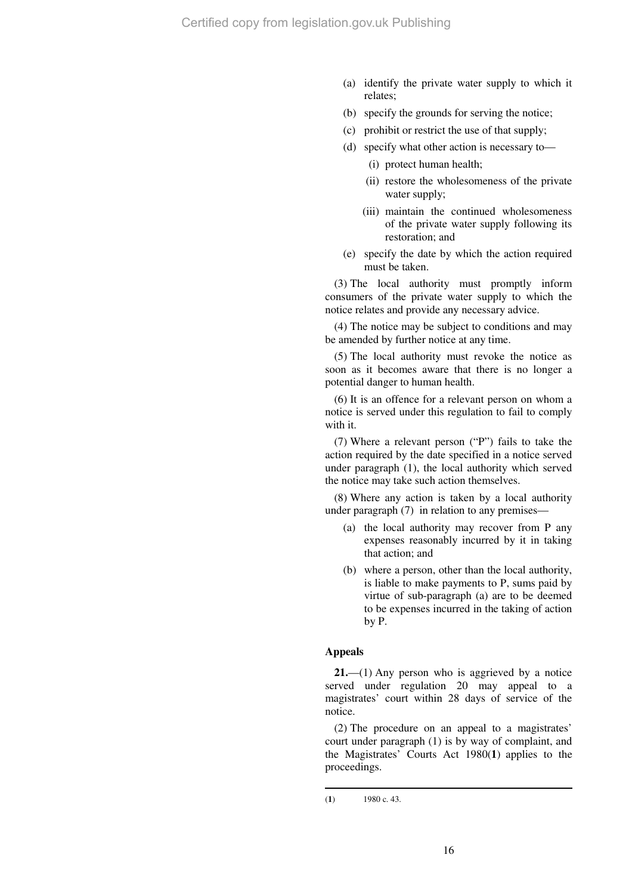- (a) identify the private water supply to which it relates;
- (b) specify the grounds for serving the notice;
- (c) prohibit or restrict the use of that supply;
- (d) specify what other action is necessary to—
	- (i) protect human health;
	- (ii) restore the wholesomeness of the private water supply;
	- (iii) maintain the continued wholesomeness of the private water supply following its restoration; and
- (e) specify the date by which the action required must be taken.

(3) The local authority must promptly inform consumers of the private water supply to which the notice relates and provide any necessary advice.

(4) The notice may be subject to conditions and may be amended by further notice at any time.

(5) The local authority must revoke the notice as soon as it becomes aware that there is no longer a potential danger to human health.

(6) It is an offence for a relevant person on whom a notice is served under this regulation to fail to comply with it.

(7) Where a relevant person ("P") fails to take the action required by the date specified in a notice served under paragraph (1), the local authority which served the notice may take such action themselves.

(8) Where any action is taken by a local authority under paragraph (7) in relation to any premises—

- (a) the local authority may recover from P any expenses reasonably incurred by it in taking that action; and
- (b) where a person, other than the local authority, is liable to make payments to P, sums paid by virtue of sub-paragraph (a) are to be deemed to be expenses incurred in the taking of action by P.

## **Appeals**

**21.**—(1) Any person who is aggrieved by a notice served under regulation 20 may appeal to a magistrates' court within 28 days of service of the notice.

(2) The procedure on an appeal to a magistrates' court under paragraph (1) is by way of complaint, and the Magistrates' Courts Act 1980(**1**) applies to the proceedings.

 $\overline{a}$ 

<sup>(</sup>**1**) 1980 c. 43.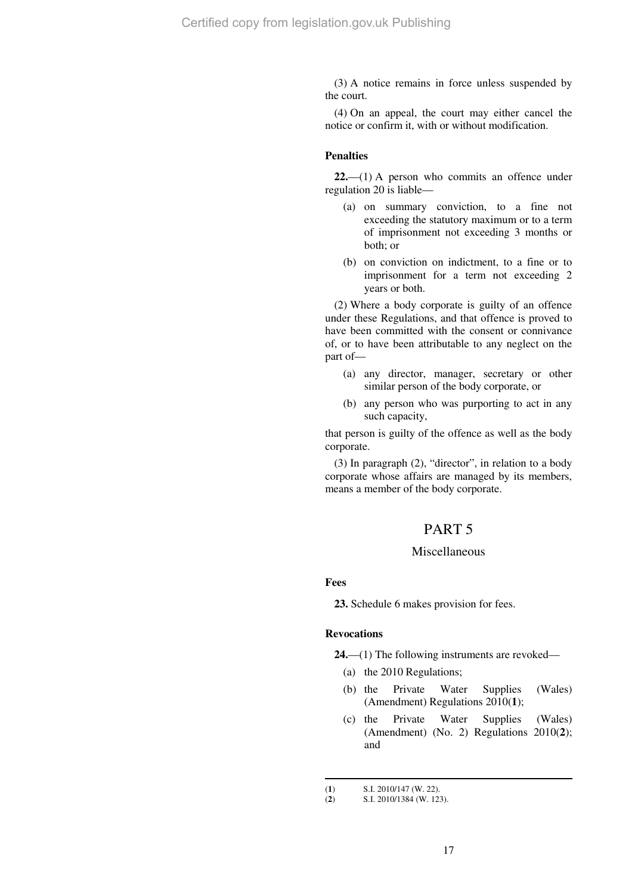(3) A notice remains in force unless suspended by the court.

(4) On an appeal, the court may either cancel the notice or confirm it, with or without modification.

#### **Penalties**

**22.**—(1) A person who commits an offence under regulation 20 is liable—

- (a) on summary conviction, to a fine not exceeding the statutory maximum or to a term of imprisonment not exceeding 3 months or both; or
- (b) on conviction on indictment, to a fine or to imprisonment for a term not exceeding 2 years or both.

(2) Where a body corporate is guilty of an offence under these Regulations, and that offence is proved to have been committed with the consent or connivance of, or to have been attributable to any neglect on the part of—

- (a) any director, manager, secretary or other similar person of the body corporate, or
- (b) any person who was purporting to act in any such capacity,

that person is guilty of the offence as well as the body corporate.

(3) In paragraph (2), "director", in relation to a body corporate whose affairs are managed by its members, means a member of the body corporate.

# PART 5

## Miscellaneous

**Fees** 

 $\overline{a}$ 

**23.** Schedule 6 makes provision for fees.

#### **Revocations**

**24.**—(1) The following instruments are revoked—

- (a) the 2010 Regulations;
- (b) the Private Water Supplies (Wales) (Amendment) Regulations 2010(**1**);
- (c) the Private Water Supplies (Wales) (Amendment) (No. 2) Regulations 2010(**2**); and

<sup>(</sup>**1**) S.I. 2010/147 (**W**. 22).<br>(**2**) S.I. 2010/1384 (**W**. 12)

<sup>(</sup>**2**) S.I. 2010/1384 (W. 123).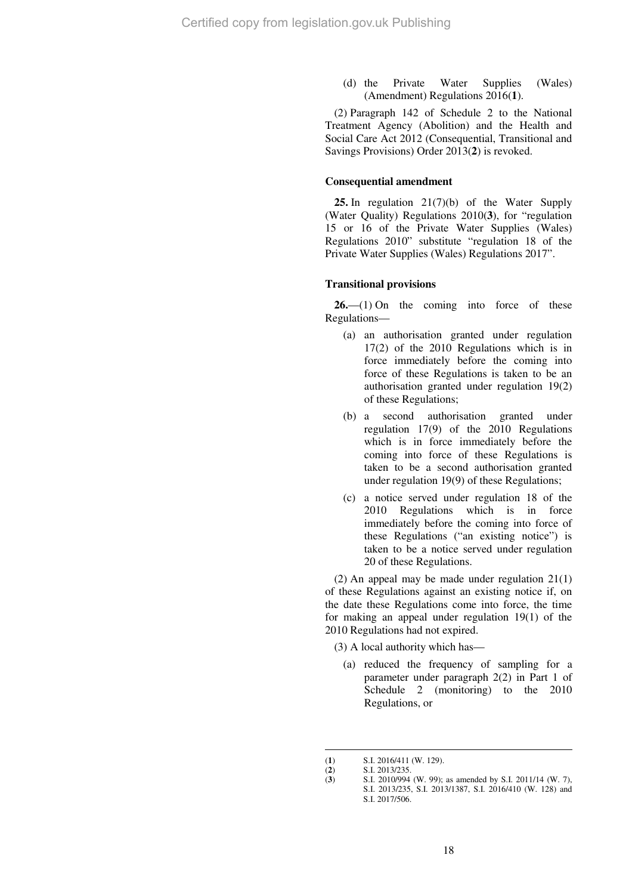(d) the Private Water Supplies (Wales) (Amendment) Regulations 2016(**1**).

(2) Paragraph 142 of Schedule 2 to the National Treatment Agency (Abolition) and the Health and Social Care Act 2012 (Consequential, Transitional and Savings Provisions) Order 2013(**2**) is revoked.

## **Consequential amendment**

**25.** In regulation 21(7)(b) of the Water Supply (Water Quality) Regulations 2010(**3**), for "regulation 15 or 16 of the Private Water Supplies (Wales) Regulations 2010" substitute "regulation 18 of the Private Water Supplies (Wales) Regulations 2017".

#### **Transitional provisions**

26.—(1) On the coming into force of these Regulations—

- (a) an authorisation granted under regulation 17(2) of the 2010 Regulations which is in force immediately before the coming into force of these Regulations is taken to be an authorisation granted under regulation 19(2) of these Regulations;
- (b) a second authorisation granted under regulation 17(9) of the 2010 Regulations which is in force immediately before the coming into force of these Regulations is taken to be a second authorisation granted under regulation 19(9) of these Regulations;
- (c) a notice served under regulation 18 of the 2010 Regulations which is in force immediately before the coming into force of these Regulations ("an existing notice") is taken to be a notice served under regulation 20 of these Regulations.

(2) An appeal may be made under regulation 21(1) of these Regulations against an existing notice if, on the date these Regulations come into force, the time for making an appeal under regulation 19(1) of the 2010 Regulations had not expired.

(3) A local authority which has—

(a) reduced the frequency of sampling for a parameter under paragraph 2(2) in Part 1 of Schedule 2 (monitoring) to the 2010 Regulations, or

 $\overline{a}$ (**1**) S.I. 2016/411 (W. 129).

<sup>(</sup>**2**) S.I. 2013/235.

<sup>(3)</sup> S.I. 2010/994 (W. 99); as amended by S.I. 2011/14 (W. 7), S.I. 2013/235, S.I. 2013/1387, S.I. 2016/410 (W. 128) and S.I. 2017/506.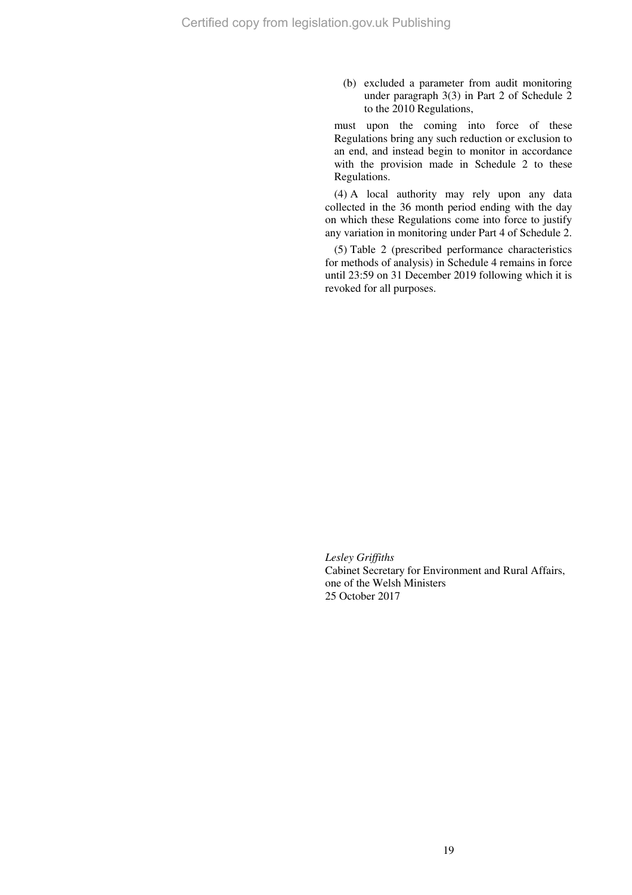(b) excluded a parameter from audit monitoring under paragraph 3(3) in Part 2 of Schedule 2 to the 2010 Regulations,

must upon the coming into force of these Regulations bring any such reduction or exclusion to an end, and instead begin to monitor in accordance with the provision made in Schedule 2 to these Regulations.

(4) A local authority may rely upon any data collected in the 36 month period ending with the day on which these Regulations come into force to justify any variation in monitoring under Part 4 of Schedule 2.

(5) Table 2 (prescribed performance characteristics for methods of analysis) in Schedule 4 remains in force until 23:59 on 31 December 2019 following which it is revoked for all purposes.

*Lesley Griffiths*  Cabinet Secretary for Environment and Rural Affairs, one of the Welsh Ministers 25 October 2017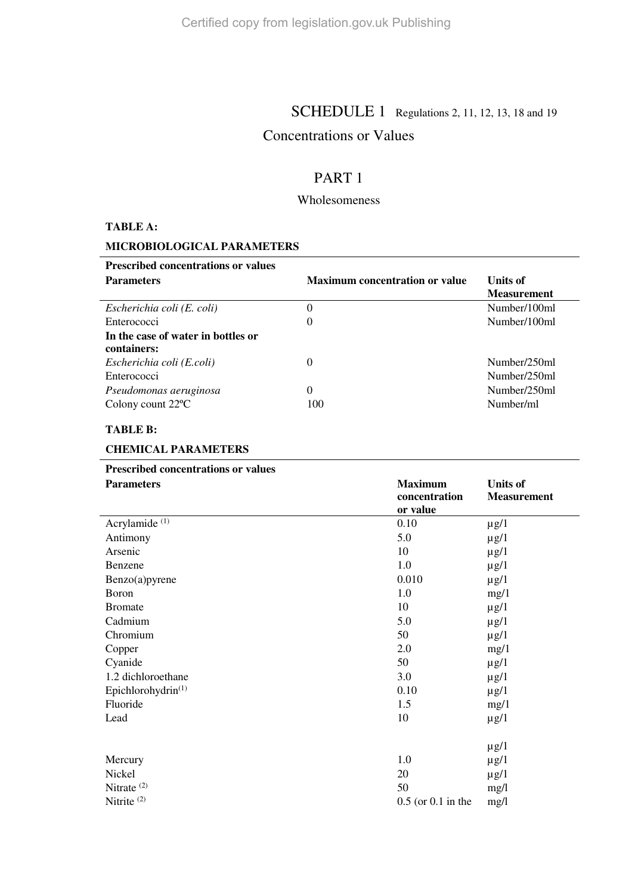# **SCHEDULE 1** Regulations 2, 11, 12, 13, 18 and 19

# Concentrations or Values

# PART 1

# Wholesomeness

# **TABLE A:**

# **MICROBIOLOGICAL PARAMETERS**

| <b>Prescribed concentrations or values</b> |                                       |                    |
|--------------------------------------------|---------------------------------------|--------------------|
| <b>Parameters</b>                          | <b>Maximum concentration or value</b> | Units of           |
|                                            |                                       | <b>Measurement</b> |
| Escherichia coli (E. coli)                 | 0                                     | Number/100ml       |
| Enterococci                                | $\theta$                              | Number/100ml       |
| In the case of water in bottles or         |                                       |                    |
| containers:                                |                                       |                    |
| Escherichia coli (E.coli)                  | $\theta$                              | Number/250ml       |
| Enterococci                                |                                       | Number/250ml       |
| Pseudomonas aeruginosa                     | 0                                     | Number/250ml       |
| Colony count $22^{\circ}$ C                | 100                                   | Number/ml          |
|                                            |                                       |                    |

# **TABLE B:**

# **CHEMICAL PARAMETERS**

# **Prescribed concentrations or values**

| <b>Parameters</b>              | <b>Maximum</b><br>concentration<br>or value | <b>Units of</b><br><b>Measurement</b> |
|--------------------------------|---------------------------------------------|---------------------------------------|
| Acrylamide <sup>(1)</sup>      | 0.10                                        | $\mu$ g/1                             |
| Antimony                       | 5.0                                         | $\mu$ g/1                             |
| Arsenic                        | 10                                          | $\mu$ g/1                             |
| Benzene                        | 1.0                                         | $\mu$ g/1                             |
| Benzo(a)pyrene                 | 0.010                                       | $\mu$ g/1                             |
| Boron                          | 1.0                                         | mg/1                                  |
| <b>Bromate</b>                 | 10                                          | $\mu$ g/1                             |
| Cadmium                        | 5.0                                         | $\mu$ g/1                             |
| Chromium                       | 50                                          | $\mu$ g/1                             |
| Copper                         | 2.0                                         | mg/1                                  |
| Cyanide                        | 50                                          | $\mu$ g/1                             |
| 1.2 dichloroethane             | 3.0                                         | $\mu$ g/1                             |
| Epichlorohydrin <sup>(1)</sup> | 0.10                                        | $\mu$ g/1                             |
| Fluoride                       | 1.5                                         | mg/1                                  |
| Lead                           | 10                                          | $\mu$ g/1                             |
|                                |                                             | $\mu$ g/1                             |
| Mercury                        | 1.0                                         | $\mu$ g/1                             |
| Nickel                         | 20                                          | $\mu$ g/1                             |
| Nitrate <sup>(2)</sup>         | 50                                          | mg/l                                  |
| Nitrite <sup>(2)</sup>         | $0.5$ (or $0.1$ in the                      | mg/l                                  |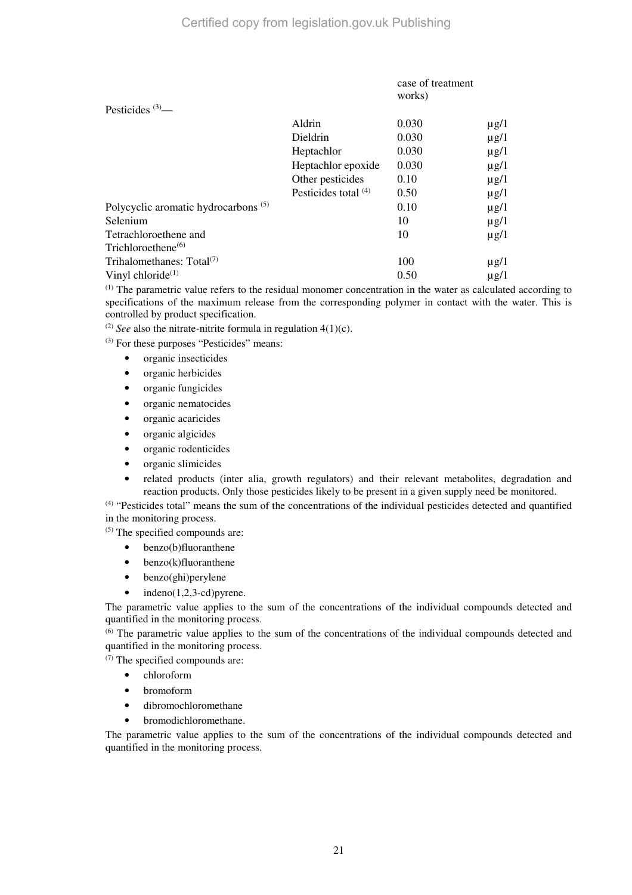|                                                 |                        | case of treatment<br>works) |           |
|-------------------------------------------------|------------------------|-----------------------------|-----------|
| Pesticides $(3)$ —                              |                        |                             |           |
|                                                 | Aldrin                 | 0.030                       | $\mu$ g/1 |
|                                                 | Dieldrin               | 0.030                       | $\mu$ g/1 |
|                                                 | Heptachlor             | 0.030                       | $\mu$ g/1 |
|                                                 | Heptachlor epoxide     | 0.030                       | $\mu$ g/1 |
|                                                 | Other pesticides       | 0.10                        | $\mu$ g/1 |
|                                                 | Pesticides total $(4)$ | 0.50                        | $\mu$ g/1 |
| Polycyclic aromatic hydrocarbons <sup>(5)</sup> |                        | 0.10                        | $\mu$ g/1 |
| Selenium                                        |                        | 10                          | $\mu$ g/1 |
| Tetrachloroethene and                           |                        | 10                          | $\mu$ g/1 |
| Trichloroethene <sup>(6)</sup>                  |                        |                             |           |
| Trihalomethanes: $Total(7)$                     |                        | 100                         | $\mu$ g/1 |
| Vinyl chloride $(1)$                            |                        | 0.50                        | $\mu$ g/1 |

(1) The parametric value refers to the residual monomer concentration in the water as calculated according to specifications of the maximum release from the corresponding polymer in contact with the water. This is controlled by product specification.

<sup>(2)</sup> *See* also the nitrate-nitrite formula in regulation  $4(1)(c)$ .

(3) For these purposes "Pesticides" means:

- organic insecticides
- organic herbicides
- organic fungicides
- organic nematocides
- organic acaricides
- organic algicides
- organic rodenticides
- organic slimicides
- related products (inter alia, growth regulators) and their relevant metabolites, degradation and reaction products. Only those pesticides likely to be present in a given supply need be monitored.

(4) "Pesticides total" means the sum of the concentrations of the individual pesticides detected and quantified in the monitoring process.

(5) The specified compounds are:

- benzo(b)fluoranthene
- benzo(k)fluoranthene
- benzo(ghi)perylene
- $indeno(1,2,3-cd)$ pyrene.

The parametric value applies to the sum of the concentrations of the individual compounds detected and quantified in the monitoring process.

(6) The parametric value applies to the sum of the concentrations of the individual compounds detected and quantified in the monitoring process.

(7) The specified compounds are:

- chloroform
- bromoform
- dibromochloromethane
- bromodichloromethane.

The parametric value applies to the sum of the concentrations of the individual compounds detected and quantified in the monitoring process.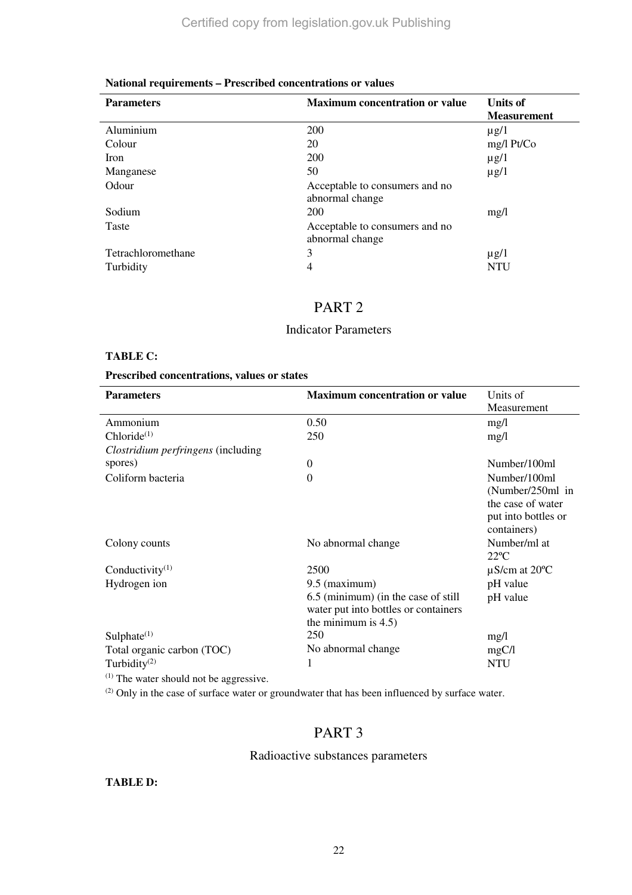# **National requirements – Prescribed concentrations or values**

| <b>Parameters</b>  | <b>Maximum concentration or value</b>             | <b>Units of</b><br><b>Measurement</b> |
|--------------------|---------------------------------------------------|---------------------------------------|
| Aluminium          | 200                                               | $\mu$ g/1                             |
| Colour             | 20                                                | mg/l Pt/Co                            |
| Iron               | 200                                               | $\mu$ g/1                             |
| Manganese          | 50                                                | $\mu$ g/1                             |
| Odour              | Acceptable to consumers and no<br>abnormal change |                                       |
| Sodium             | 200                                               | mg/l                                  |
| <b>Taste</b>       | Acceptable to consumers and no<br>abnormal change |                                       |
| Tetrachloromethane | 3                                                 | $\mu$ g/1                             |
| Turbidity          | 4                                                 | <b>NTU</b>                            |

# PART 2

# Indicator Parameters

# **TABLE C:**

## **Prescribed concentrations, values or states**

| <b>Parameters</b>                            | <b>Maximum concentration or value</b> | Units of                      |
|----------------------------------------------|---------------------------------------|-------------------------------|
|                                              |                                       | Measurement                   |
| Ammonium                                     | 0.50                                  | mg/l                          |
| $Chloride^{(1)}$                             | 250                                   | mg/l                          |
| Clostridium perfringens (including           |                                       |                               |
| spores)                                      | $\theta$                              | Number/100ml                  |
| Coliform bacteria                            | $\theta$                              | Number/100ml                  |
|                                              |                                       | (Number/250ml in              |
|                                              |                                       | the case of water             |
|                                              |                                       | put into bottles or           |
|                                              |                                       | containers)                   |
| Colony counts                                | No abnormal change                    | Number/ml at                  |
|                                              |                                       | $22^{\circ}C$                 |
| Conductivity $(1)$                           | 2500                                  | $\mu$ S/cm at 20 $^{\circ}$ C |
| Hydrogen ion                                 | $9.5$ (maximum)                       | pH value                      |
|                                              | 6.5 (minimum) (in the case of still   | pH value                      |
|                                              | water put into bottles or containers  |                               |
|                                              | the minimum is $4.5$ )                |                               |
| Sulphate $(1)$                               | 250                                   | mg/l                          |
| Total organic carbon (TOC)                   | No abnormal change                    | mgC/l                         |
| Turbidity $(2)$                              | 1                                     | <b>NTU</b>                    |
| $^{(1)}$ The water should not be aggressive. |                                       |                               |

(2) Only in the case of surface water or groundwater that has been influenced by surface water.

# PART 3

# Radioactive substances parameters

**TABLE D:**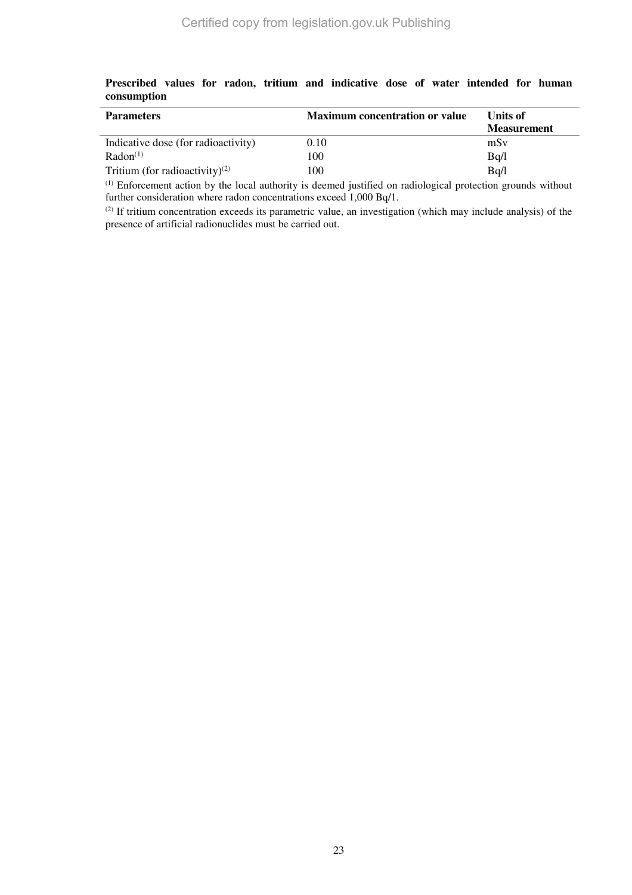| <b>Parameters</b>                          | <b>Maximum concentration or value</b> | Units of<br><b>Measurement</b> |
|--------------------------------------------|---------------------------------------|--------------------------------|
| Indicative dose (for radioactivity)        | 0.10                                  | mSv                            |
| Radon <sup>(1)</sup>                       | 100                                   | Bq/l                           |
| Tritium (for radioactivity) <sup>(2)</sup> | 100                                   | Bq/l                           |

**Prescribed values for radon, tritium and indicative dose of water intended for human consumption** 

(1) Enforcement action by the local authority is deemed justified on radiological protection grounds without further consideration where radon concentrations exceed 1,000 Bq/1.

(2) If tritium concentration exceeds its parametric value, an investigation (which may include analysis) of the presence of artificial radionuclides must be carried out.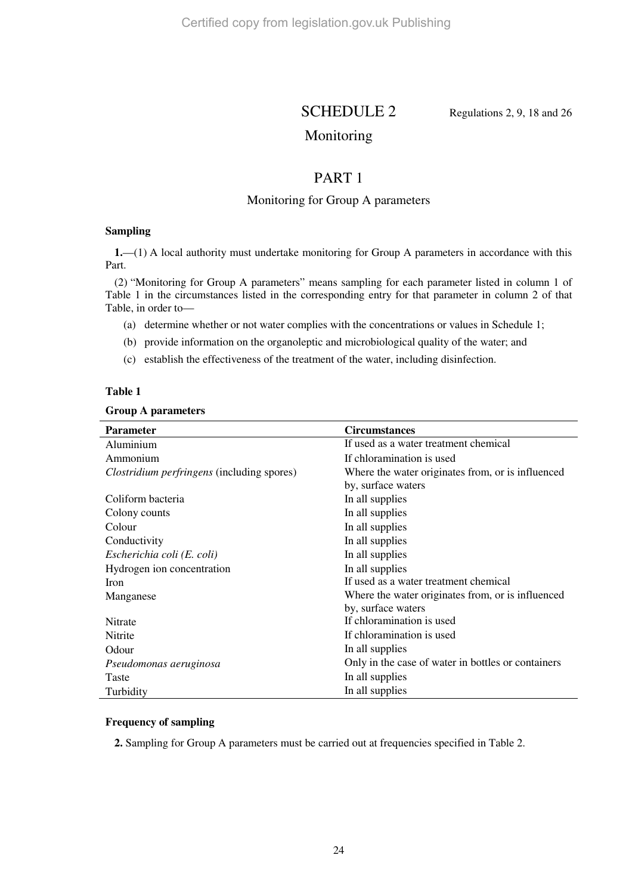SCHEDULE 2 Regulations 2, 9, 18 and 26

# Monitoring

# PART 1

# Monitoring for Group A parameters

# **Sampling**

**1.**—(1) A local authority must undertake monitoring for Group A parameters in accordance with this Part.

(2) "Monitoring for Group A parameters" means sampling for each parameter listed in column 1 of Table 1 in the circumstances listed in the corresponding entry for that parameter in column 2 of that Table, in order to—

- (a) determine whether or not water complies with the concentrations or values in Schedule 1;
- (b) provide information on the organoleptic and microbiological quality of the water; and
- (c) establish the effectiveness of the treatment of the water, including disinfection.

## **Table 1**

#### **Group A parameters**

| <b>Parameter</b>                           | <b>Circumstances</b>                               |
|--------------------------------------------|----------------------------------------------------|
| Aluminium                                  | If used as a water treatment chemical              |
| Ammonium                                   | If chloramination is used                          |
| Clostridium perfringens (including spores) | Where the water originates from, or is influenced  |
|                                            | by, surface waters                                 |
| Coliform bacteria                          | In all supplies                                    |
| Colony counts                              | In all supplies                                    |
| Colour                                     | In all supplies                                    |
| Conductivity                               | In all supplies                                    |
| Escherichia coli (E. coli)                 | In all supplies                                    |
| Hydrogen ion concentration                 | In all supplies                                    |
| Iron                                       | If used as a water treatment chemical              |
| Manganese                                  | Where the water originates from, or is influenced  |
|                                            | by, surface waters                                 |
| <b>Nitrate</b>                             | If chloramination is used                          |
| Nitrite                                    | If chloramination is used                          |
| Odour                                      | In all supplies                                    |
| Pseudomonas aeruginosa                     | Only in the case of water in bottles or containers |
| Taste                                      | In all supplies                                    |
| Turbidity                                  | In all supplies                                    |

#### **Frequency of sampling**

**2.** Sampling for Group A parameters must be carried out at frequencies specified in Table 2.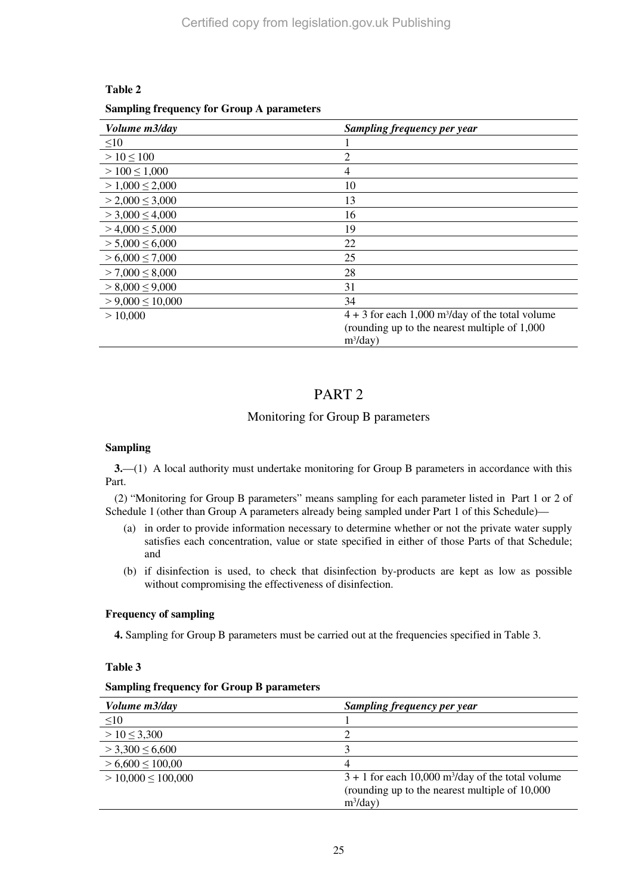# **Table 2**

## **Sampling frequency for Group A parameters**

| Volume m3/day          | <b>Sampling frequency per year</b>                             |
|------------------------|----------------------------------------------------------------|
| $\leq10$               |                                                                |
| $> 10 \le 100$         | 2                                                              |
| $>100 \le 1,000$       | 4                                                              |
| $> 1,000 \le 2,000$    | 10                                                             |
| $> 2,000 \leq 3,000$   | 13                                                             |
| $>$ 3,000 $\leq$ 4,000 | 16                                                             |
| $> 4,000 \le 5,000$    | 19                                                             |
| $> 5,000 \le 6,000$    | 22                                                             |
| $> 6,000 \le 7,000$    | 25                                                             |
| $> 7,000 \leq 8,000$   | 28                                                             |
| $> 8,000 \le 9,000$    | 31                                                             |
| $> 9,000 \le 10,000$   | 34                                                             |
| > 10,000               | $4 + 3$ for each 1,000 m <sup>3</sup> /day of the total volume |
|                        | (rounding up to the nearest multiple of 1,000)                 |
|                        | $m^3$ /day)                                                    |

# PART 2

# Monitoring for Group B parameters

## **Sampling**

**3.**—(1) A local authority must undertake monitoring for Group B parameters in accordance with this Part.

(2) "Monitoring for Group B parameters" means sampling for each parameter listed in Part 1 or 2 of Schedule 1 (other than Group A parameters already being sampled under Part 1 of this Schedule)—

- (a) in order to provide information necessary to determine whether or not the private water supply satisfies each concentration, value or state specified in either of those Parts of that Schedule; and
- (b) if disinfection is used, to check that disinfection by-products are kept as low as possible without compromising the effectiveness of disinfection.

# **Frequency of sampling**

**4.** Sampling for Group B parameters must be carried out at the frequencies specified in Table 3.

# **Table 3**

## **Sampling frequency for Group B parameters**

| <i>Volume m3/day</i>   | Sampling frequency per year                                     |
|------------------------|-----------------------------------------------------------------|
| $\leq10$               |                                                                 |
| $> 10 \leq 3,300$      |                                                                 |
| $>$ 3,300 $\leq$ 6,600 |                                                                 |
| $> 6,600 \le 100,00$   | 4                                                               |
| $> 10,000 \le 100,000$ | $3 + 1$ for each 10,000 m <sup>3</sup> /day of the total volume |
|                        | (rounding up to the nearest multiple of 10,000)                 |
|                        | $m^3$ /day)                                                     |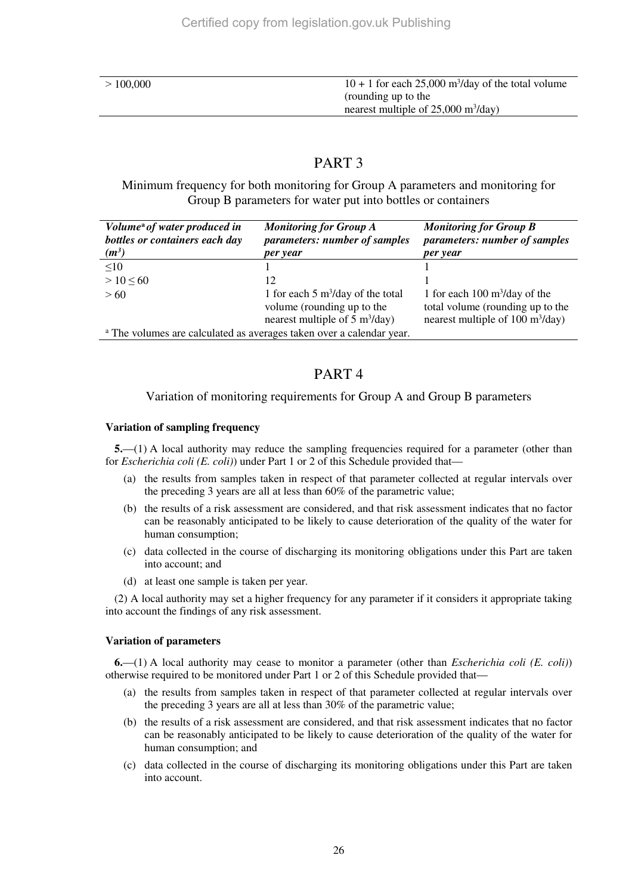| 100,000 |
|---------|
|---------|

# PART 3

Minimum frequency for both monitoring for Group A parameters and monitoring for Group B parameters for water put into bottles or containers

| Volume <sup>a</sup> of water produced in<br>bottles or containers each day      | <b>Monitoring for Group A</b><br>parameters: number of samples                 | <b>Monitoring for Group B</b><br>parameters: number of samples                         |
|---------------------------------------------------------------------------------|--------------------------------------------------------------------------------|----------------------------------------------------------------------------------------|
| $(m^3)$                                                                         | per year                                                                       | per year                                                                               |
| $\leq 10$                                                                       |                                                                                |                                                                                        |
| $> 10 \le 60$                                                                   | 12                                                                             |                                                                                        |
| >60                                                                             | 1 for each 5 $m^3$ /day of the total                                           | 1 for each $100 \text{ m}^3/\text{day}$ of the                                         |
|                                                                                 | volume (rounding up to the<br>nearest multiple of $5 \text{ m}^3/\text{day}$ ) | total volume (rounding up to the<br>nearest multiple of $100 \text{ m}^3/\text{day}$ ) |
|                                                                                 |                                                                                |                                                                                        |
| <sup>a</sup> The volumes are calculated as averages taken over a calendar year. |                                                                                |                                                                                        |

# PART 4

# Variation of monitoring requirements for Group A and Group B parameters

# **Variation of sampling frequency**

**5.**—(1) A local authority may reduce the sampling frequencies required for a parameter (other than for *Escherichia coli (E. coli)*) under Part 1 or 2 of this Schedule provided that—

- (a) the results from samples taken in respect of that parameter collected at regular intervals over the preceding 3 years are all at less than 60% of the parametric value;
- (b) the results of a risk assessment are considered, and that risk assessment indicates that no factor can be reasonably anticipated to be likely to cause deterioration of the quality of the water for human consumption;
- (c) data collected in the course of discharging its monitoring obligations under this Part are taken into account; and
- (d) at least one sample is taken per year.

(2) A local authority may set a higher frequency for any parameter if it considers it appropriate taking into account the findings of any risk assessment.

# **Variation of parameters**

**6.**—(1) A local authority may cease to monitor a parameter (other than *Escherichia coli (E. coli)*) otherwise required to be monitored under Part 1 or 2 of this Schedule provided that—

- (a) the results from samples taken in respect of that parameter collected at regular intervals over the preceding 3 years are all at less than 30% of the parametric value;
- (b) the results of a risk assessment are considered, and that risk assessment indicates that no factor can be reasonably anticipated to be likely to cause deterioration of the quality of the water for human consumption; and
- (c) data collected in the course of discharging its monitoring obligations under this Part are taken into account.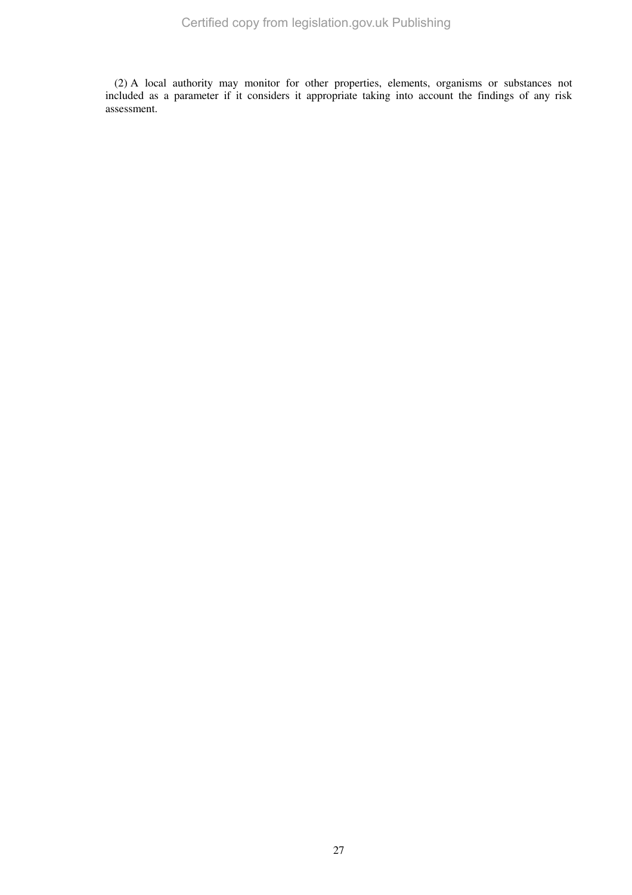(2) A local authority may monitor for other properties, elements, organisms or substances not included as a parameter if it considers it appropriate taking into account the findings of any risk assessment.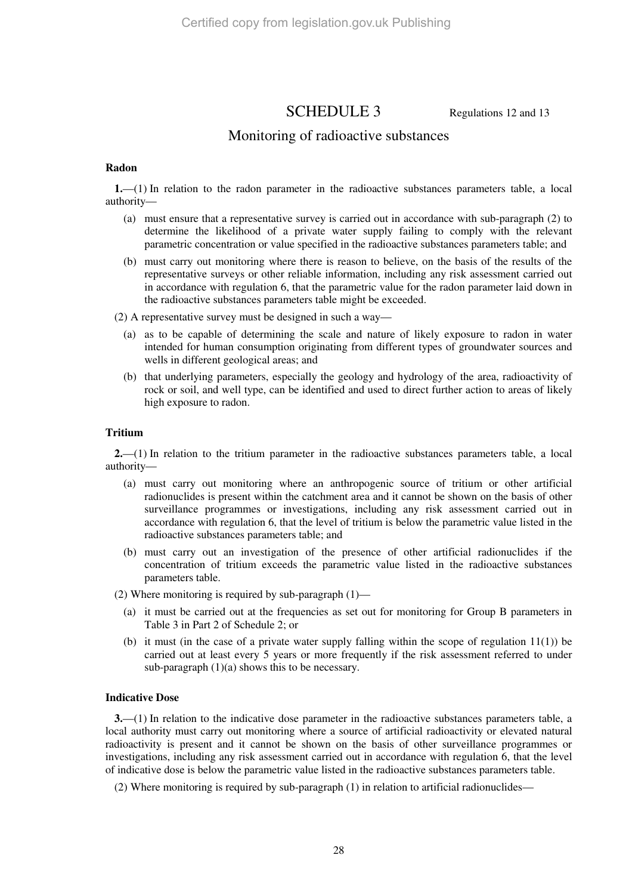# SCHEDULE 3 Regulations 12 and 13

# Monitoring of radioactive substances

#### **Radon**

**1.**—(1) In relation to the radon parameter in the radioactive substances parameters table, a local authority—

- (a) must ensure that a representative survey is carried out in accordance with sub-paragraph (2) to determine the likelihood of a private water supply failing to comply with the relevant parametric concentration or value specified in the radioactive substances parameters table; and
- (b) must carry out monitoring where there is reason to believe, on the basis of the results of the representative surveys or other reliable information, including any risk assessment carried out in accordance with regulation 6, that the parametric value for the radon parameter laid down in the radioactive substances parameters table might be exceeded.

(2) A representative survey must be designed in such a way—

- (a) as to be capable of determining the scale and nature of likely exposure to radon in water intended for human consumption originating from different types of groundwater sources and wells in different geological areas; and
- (b) that underlying parameters, especially the geology and hydrology of the area, radioactivity of rock or soil, and well type, can be identified and used to direct further action to areas of likely high exposure to radon.

#### **Tritium**

**2.**—(1) In relation to the tritium parameter in the radioactive substances parameters table, a local authority—

- (a) must carry out monitoring where an anthropogenic source of tritium or other artificial radionuclides is present within the catchment area and it cannot be shown on the basis of other surveillance programmes or investigations, including any risk assessment carried out in accordance with regulation 6, that the level of tritium is below the parametric value listed in the radioactive substances parameters table; and
- (b) must carry out an investigation of the presence of other artificial radionuclides if the concentration of tritium exceeds the parametric value listed in the radioactive substances parameters table.

(2) Where monitoring is required by sub-paragraph (1)—

- (a) it must be carried out at the frequencies as set out for monitoring for Group B parameters in Table 3 in Part 2 of Schedule 2; or
- (b) it must (in the case of a private water supply falling within the scope of regulation  $11(1)$ ) be carried out at least every 5 years or more frequently if the risk assessment referred to under sub-paragraph (1)(a) shows this to be necessary.

#### **Indicative Dose**

**3.**—(1) In relation to the indicative dose parameter in the radioactive substances parameters table, a local authority must carry out monitoring where a source of artificial radioactivity or elevated natural radioactivity is present and it cannot be shown on the basis of other surveillance programmes or investigations, including any risk assessment carried out in accordance with regulation 6, that the level of indicative dose is below the parametric value listed in the radioactive substances parameters table.

(2) Where monitoring is required by sub-paragraph (1) in relation to artificial radionuclides—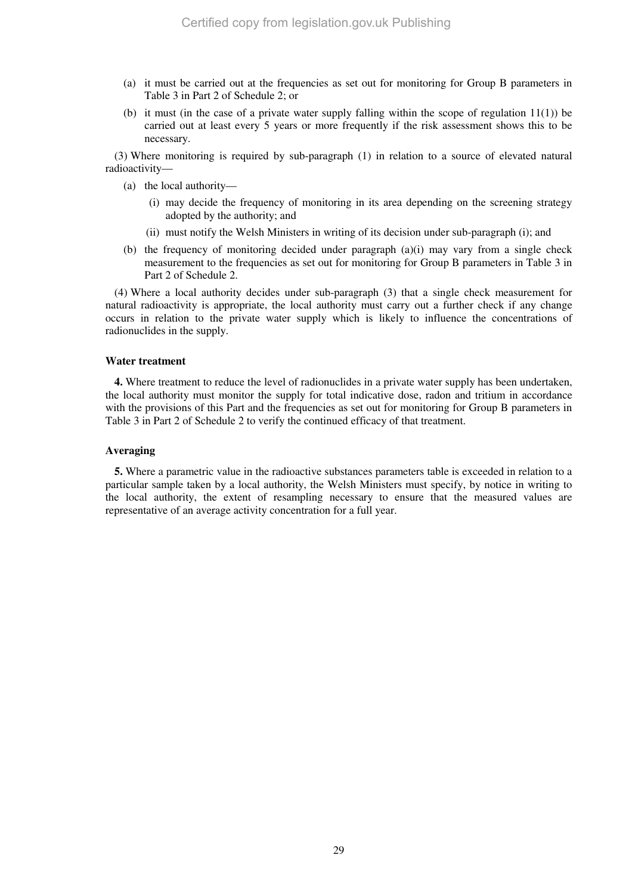- (a) it must be carried out at the frequencies as set out for monitoring for Group B parameters in Table 3 in Part 2 of Schedule 2; or
- (b) it must (in the case of a private water supply falling within the scope of regulation  $11(1)$ ) be carried out at least every 5 years or more frequently if the risk assessment shows this to be necessary.

(3) Where monitoring is required by sub-paragraph (1) in relation to a source of elevated natural radioactivity—

- (a) the local authority—
	- (i) may decide the frequency of monitoring in its area depending on the screening strategy adopted by the authority; and
	- (ii) must notify the Welsh Ministers in writing of its decision under sub-paragraph (i); and
- (b) the frequency of monitoring decided under paragraph  $(a)(i)$  may vary from a single check measurement to the frequencies as set out for monitoring for Group B parameters in Table 3 in Part 2 of Schedule 2.

(4) Where a local authority decides under sub-paragraph (3) that a single check measurement for natural radioactivity is appropriate, the local authority must carry out a further check if any change occurs in relation to the private water supply which is likely to influence the concentrations of radionuclides in the supply.

#### **Water treatment**

**4.** Where treatment to reduce the level of radionuclides in a private water supply has been undertaken, the local authority must monitor the supply for total indicative dose, radon and tritium in accordance with the provisions of this Part and the frequencies as set out for monitoring for Group B parameters in Table 3 in Part 2 of Schedule 2 to verify the continued efficacy of that treatment.

#### **Averaging**

**5.** Where a parametric value in the radioactive substances parameters table is exceeded in relation to a particular sample taken by a local authority, the Welsh Ministers must specify, by notice in writing to the local authority, the extent of resampling necessary to ensure that the measured values are representative of an average activity concentration for a full year.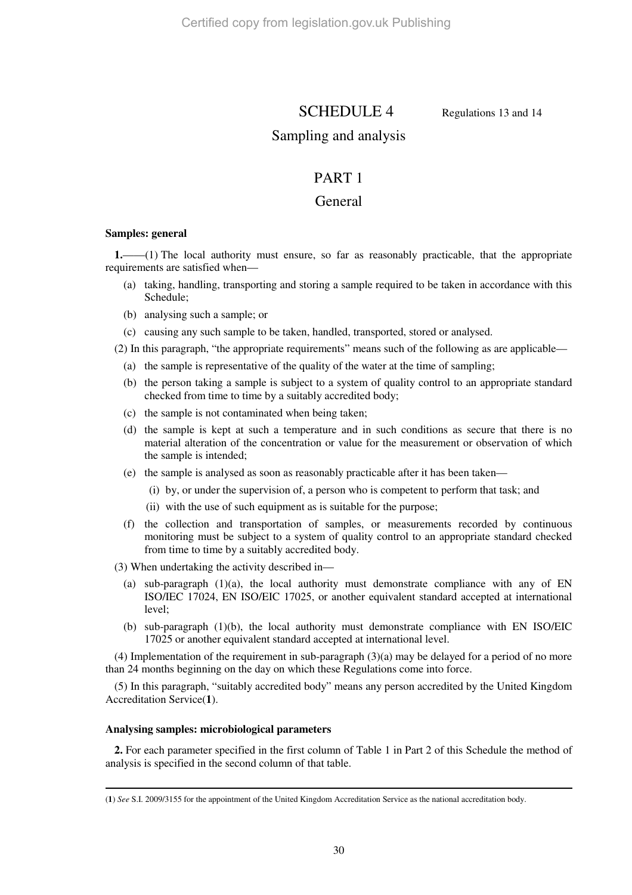SCHEDULE 4 Regulations 13 and 14

# Sampling and analysis

# PART 1

# General

# **Samples: general**

**1.**——(1) The local authority must ensure, so far as reasonably practicable, that the appropriate requirements are satisfied when—

- (a) taking, handling, transporting and storing a sample required to be taken in accordance with this Schedule;
- (b) analysing such a sample; or
- (c) causing any such sample to be taken, handled, transported, stored or analysed.
- (2) In this paragraph, "the appropriate requirements" means such of the following as are applicable—
	- (a) the sample is representative of the quality of the water at the time of sampling;
	- (b) the person taking a sample is subject to a system of quality control to an appropriate standard checked from time to time by a suitably accredited body;
	- (c) the sample is not contaminated when being taken;
	- (d) the sample is kept at such a temperature and in such conditions as secure that there is no material alteration of the concentration or value for the measurement or observation of which the sample is intended;
	- (e) the sample is analysed as soon as reasonably practicable after it has been taken—
		- (i) by, or under the supervision of, a person who is competent to perform that task; and
		- (ii) with the use of such equipment as is suitable for the purpose;
	- (f) the collection and transportation of samples, or measurements recorded by continuous monitoring must be subject to a system of quality control to an appropriate standard checked from time to time by a suitably accredited body.

(3) When undertaking the activity described in—

- (a) sub-paragraph  $(1)(a)$ , the local authority must demonstrate compliance with any of EN ISO/IEC 17024, EN ISO/EIC 17025, or another equivalent standard accepted at international level;
- (b) sub-paragraph (1)(b), the local authority must demonstrate compliance with EN ISO/EIC 17025 or another equivalent standard accepted at international level.

(4) Implementation of the requirement in sub-paragraph (3)(a) may be delayed for a period of no more than 24 months beginning on the day on which these Regulations come into force.

(5) In this paragraph, "suitably accredited body" means any person accredited by the United Kingdom Accreditation Service(**1**).

# **Analysing samples: microbiological parameters**

**2.** For each parameter specified in the first column of Table 1 in Part 2 of this Schedule the method of analysis is specified in the second column of that table.

 $\overline{a}$ (**1**) *See* S.I. 2009/3155 for the appointment of the United Kingdom Accreditation Service as the national accreditation body.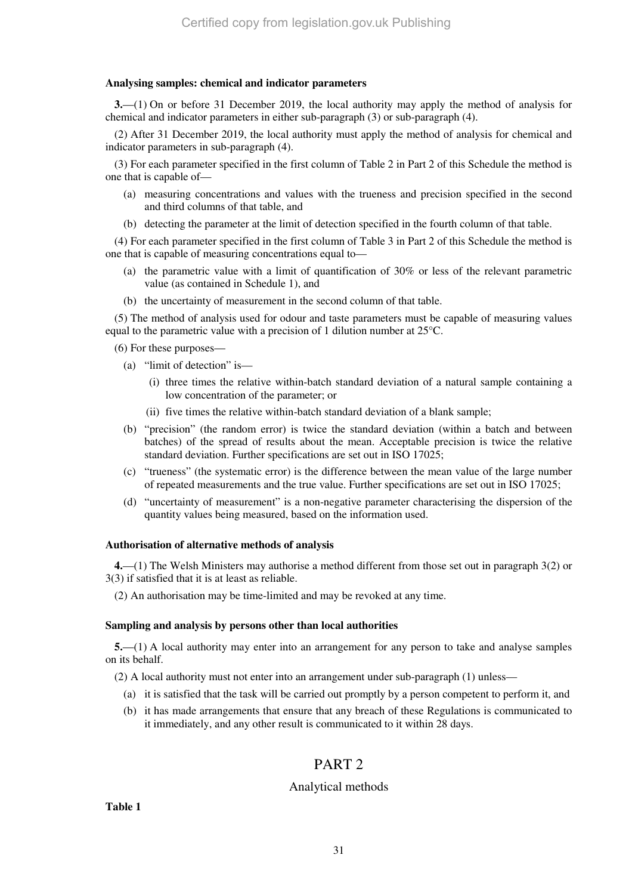### **Analysing samples: chemical and indicator parameters**

**3.**—(1) On or before 31 December 2019, the local authority may apply the method of analysis for chemical and indicator parameters in either sub-paragraph (3) or sub-paragraph (4).

(2) After 31 December 2019, the local authority must apply the method of analysis for chemical and indicator parameters in sub-paragraph (4).

(3) For each parameter specified in the first column of Table 2 in Part 2 of this Schedule the method is one that is capable of—

- (a) measuring concentrations and values with the trueness and precision specified in the second and third columns of that table, and
- (b) detecting the parameter at the limit of detection specified in the fourth column of that table.

(4) For each parameter specified in the first column of Table 3 in Part 2 of this Schedule the method is one that is capable of measuring concentrations equal to—

- (a) the parametric value with a limit of quantification of 30% or less of the relevant parametric value (as contained in Schedule 1), and
- (b) the uncertainty of measurement in the second column of that table.

(5) The method of analysis used for odour and taste parameters must be capable of measuring values equal to the parametric value with a precision of 1 dilution number at 25°C.

(6) For these purposes—

- (a) "limit of detection" is—
	- (i) three times the relative within-batch standard deviation of a natural sample containing a low concentration of the parameter; or
	- (ii) five times the relative within-batch standard deviation of a blank sample;
- (b) "precision" (the random error) is twice the standard deviation (within a batch and between batches) of the spread of results about the mean. Acceptable precision is twice the relative standard deviation. Further specifications are set out in ISO 17025;
- (c) "trueness" (the systematic error) is the difference between the mean value of the large number of repeated measurements and the true value. Further specifications are set out in ISO 17025;
- (d) "uncertainty of measurement" is a non-negative parameter characterising the dispersion of the quantity values being measured, based on the information used.

#### **Authorisation of alternative methods of analysis**

**4.**—(1) The Welsh Ministers may authorise a method different from those set out in paragraph 3(2) or 3(3) if satisfied that it is at least as reliable.

(2) An authorisation may be time-limited and may be revoked at any time.

#### **Sampling and analysis by persons other than local authorities**

**5.**—(1) A local authority may enter into an arrangement for any person to take and analyse samples on its behalf.

(2) A local authority must not enter into an arrangement under sub-paragraph (1) unless—

- (a) it is satisfied that the task will be carried out promptly by a person competent to perform it, and
- (b) it has made arrangements that ensure that any breach of these Regulations is communicated to it immediately, and any other result is communicated to it within 28 days.

# PART 2

# Analytical methods

**Table 1**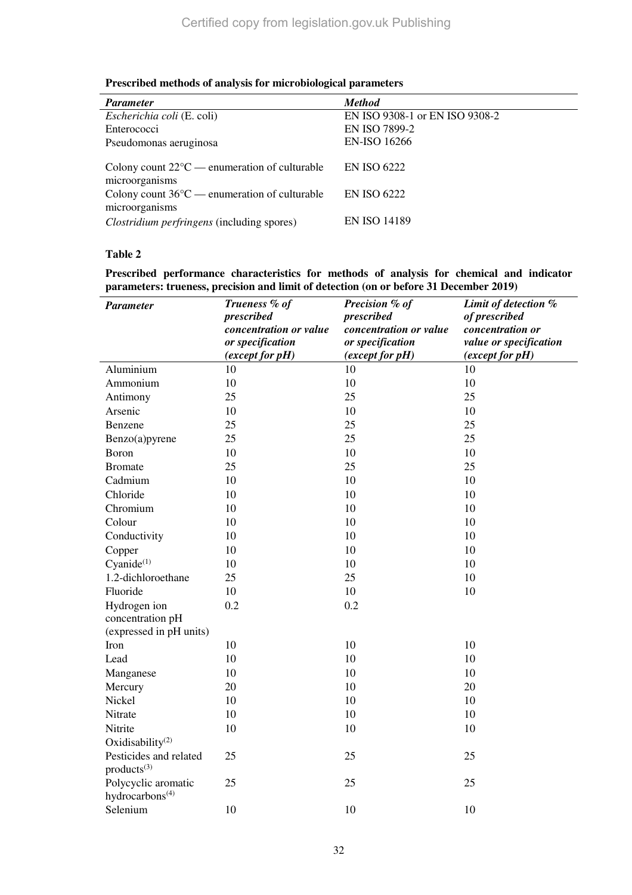| <b>Parameter</b>                                                                                                                                       | <b>Method</b>                            |
|--------------------------------------------------------------------------------------------------------------------------------------------------------|------------------------------------------|
| Escherichia coli (E. coli)                                                                                                                             | EN ISO 9308-1 or EN ISO 9308-2           |
| Enterococci                                                                                                                                            | EN ISO 7899-2                            |
| Pseudomonas aeruginosa                                                                                                                                 | <b>EN-ISO 16266</b>                      |
| Colony count $22^{\circ}$ C — enumeration of culturable<br>microorganisms<br>Colony count $36^{\circ}$ C — enumeration of culturable<br>microorganisms | <b>EN ISO 6222</b><br><b>EN ISO 6222</b> |
| <i>Clostridium perfringens</i> (including spores)                                                                                                      | <b>EN ISO 14189</b>                      |

# **Table 2**

**Prescribed performance characteristics for methods of analysis for chemical and indicator parameters: trueness, precision and limit of detection (on or before 31 December 2019)** 

| <b>Parameter</b>                                                                  | Trueness % of<br>prescribed<br>concentration or value<br>or specification<br>(except for pH) | Precision % of<br>prescribed<br>concentration or value<br>or specification<br>(except for pH) | Limit of detection %<br>of prescribed<br>concentration or<br>value or specification<br>(except for pH) |
|-----------------------------------------------------------------------------------|----------------------------------------------------------------------------------------------|-----------------------------------------------------------------------------------------------|--------------------------------------------------------------------------------------------------------|
| Aluminium                                                                         | 10                                                                                           | 10                                                                                            | 10                                                                                                     |
| Ammonium                                                                          | 10                                                                                           | 10                                                                                            | 10                                                                                                     |
| Antimony                                                                          | 25                                                                                           | 25                                                                                            | 25                                                                                                     |
| Arsenic                                                                           | 10                                                                                           | 10                                                                                            | 10                                                                                                     |
| Benzene                                                                           | 25                                                                                           | 25                                                                                            | 25                                                                                                     |
| Benzo(a)pyrene                                                                    | 25                                                                                           | 25                                                                                            | 25                                                                                                     |
| Boron                                                                             | 10                                                                                           | 10                                                                                            | 10                                                                                                     |
| <b>Bromate</b>                                                                    | 25                                                                                           | 25                                                                                            | 25                                                                                                     |
| Cadmium                                                                           | 10                                                                                           | 10                                                                                            | 10                                                                                                     |
| Chloride                                                                          | 10                                                                                           | 10                                                                                            | 10                                                                                                     |
| Chromium                                                                          | 10                                                                                           | 10                                                                                            | 10                                                                                                     |
| Colour                                                                            | 10                                                                                           | 10                                                                                            | 10                                                                                                     |
| Conductivity                                                                      | 10                                                                                           | 10                                                                                            | 10                                                                                                     |
| Copper                                                                            | 10                                                                                           | 10                                                                                            | 10                                                                                                     |
| $Cyanide^{(1)}$                                                                   | 10                                                                                           | 10                                                                                            | 10                                                                                                     |
| 1.2-dichloroethane                                                                | 25                                                                                           | 25                                                                                            | 10                                                                                                     |
| Fluoride                                                                          | 10                                                                                           | 10                                                                                            | 10                                                                                                     |
| Hydrogen ion<br>concentration pH<br>(expressed in pH units)                       | 0.2                                                                                          | 0.2                                                                                           |                                                                                                        |
| Iron                                                                              | 10                                                                                           | 10                                                                                            | 10                                                                                                     |
| Lead                                                                              | 10                                                                                           | 10                                                                                            | 10                                                                                                     |
| Manganese                                                                         | 10                                                                                           | 10                                                                                            | 10                                                                                                     |
| Mercury                                                                           | 20                                                                                           | 10                                                                                            | 20                                                                                                     |
| Nickel                                                                            | 10                                                                                           | 10                                                                                            | 10                                                                                                     |
| Nitrate                                                                           | 10                                                                                           | 10                                                                                            | 10                                                                                                     |
| Nitrite                                                                           | 10                                                                                           | 10                                                                                            | 10                                                                                                     |
| Oxidisability <sup>(2)</sup><br>Pesticides and related<br>products <sup>(3)</sup> | 25                                                                                           | 25                                                                                            | 25                                                                                                     |
| Polycyclic aromatic<br>hydrocarbons <sup>(4)</sup>                                | 25                                                                                           | 25                                                                                            | 25                                                                                                     |
| Selenium                                                                          | 10                                                                                           | 10                                                                                            | 10                                                                                                     |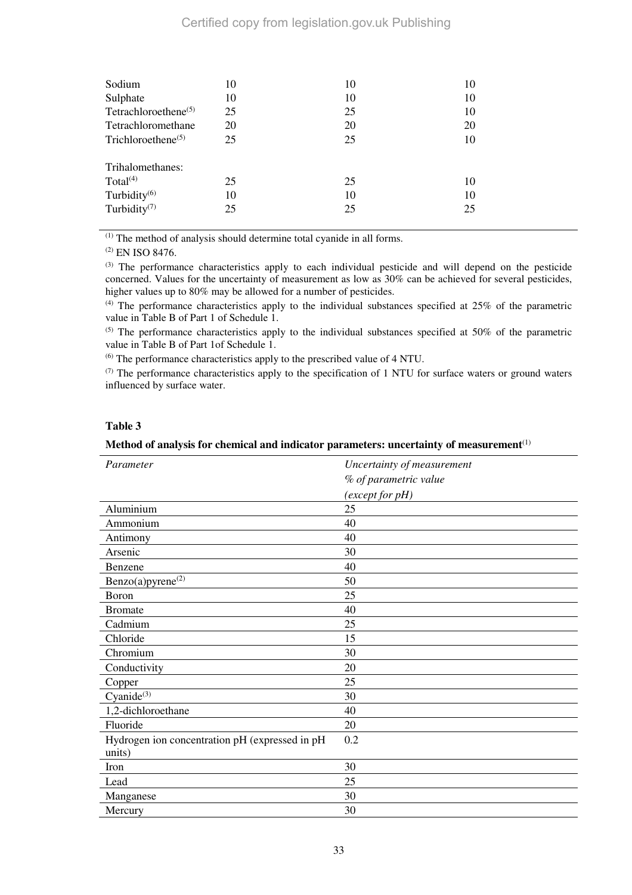# Certified copy from legislation.gov.uk Publishing

| Sodium                                        | 10 | 10 | 10 |
|-----------------------------------------------|----|----|----|
| Sulphate                                      | 10 | 10 | 10 |
| Tetrachloroethene <sup><math>(5)</math></sup> | 25 | 25 | 10 |
| Tetrachloromethane                            | 20 | 20 | 20 |
| Trichloroethene <sup><math>(5)</math></sup>   | 25 | 25 | 10 |
| Trihalomethanes:                              |    |    |    |
| Total $(4)$                                   | 25 | 25 | 10 |
| Turbidity <sup>(6)</sup>                      | 10 | 10 | 10 |
| Turbidity $(7)$                               | 25 | 25 | 25 |

(1) The method of analysis should determine total cyanide in all forms.

(2) EN ISO 8476.

(3) The performance characteristics apply to each individual pesticide and will depend on the pesticide concerned. Values for the uncertainty of measurement as low as 30% can be achieved for several pesticides, higher values up to 80% may be allowed for a number of pesticides.

 $(4)$  The performance characteristics apply to the individual substances specified at 25% of the parametric value in Table B of Part 1 of Schedule 1.

 $(5)$  The performance characteristics apply to the individual substances specified at 50% of the parametric value in Table B of Part 1of Schedule 1.

(6) The performance characteristics apply to the prescribed value of 4 NTU.

(7) The performance characteristics apply to the specification of 1 NTU for surface waters or ground waters influenced by surface water.

# **Table 3**

#### **Method of analysis for chemical and indicator parameters: uncertainty of measurement**(1)

| Parameter                                      | Uncertainty of measurement |
|------------------------------------------------|----------------------------|
|                                                | % of parametric value      |
|                                                | (except for pH)            |
| Aluminium                                      | 25                         |
| Ammonium                                       | 40                         |
| Antimony                                       | 40                         |
| Arsenic                                        | 30                         |
| Benzene                                        | 40                         |
| Benzo(a)pyrene <sup>(2)</sup>                  | 50                         |
| Boron                                          | 25                         |
| <b>Bromate</b>                                 | 40                         |
| Cadmium                                        | 25                         |
| Chloride                                       | 15                         |
| Chromium                                       | 30                         |
| Conductivity                                   | 20                         |
| Copper                                         | 25                         |
| Cyanide $(3)$                                  | 30                         |
| 1,2-dichloroethane                             | 40                         |
| Fluoride                                       | 20                         |
| Hydrogen ion concentration pH (expressed in pH | 0.2                        |
| units)                                         |                            |
| Iron                                           | 30                         |
| Lead                                           | 25                         |
| Manganese                                      | 30                         |
| Mercury                                        | 30                         |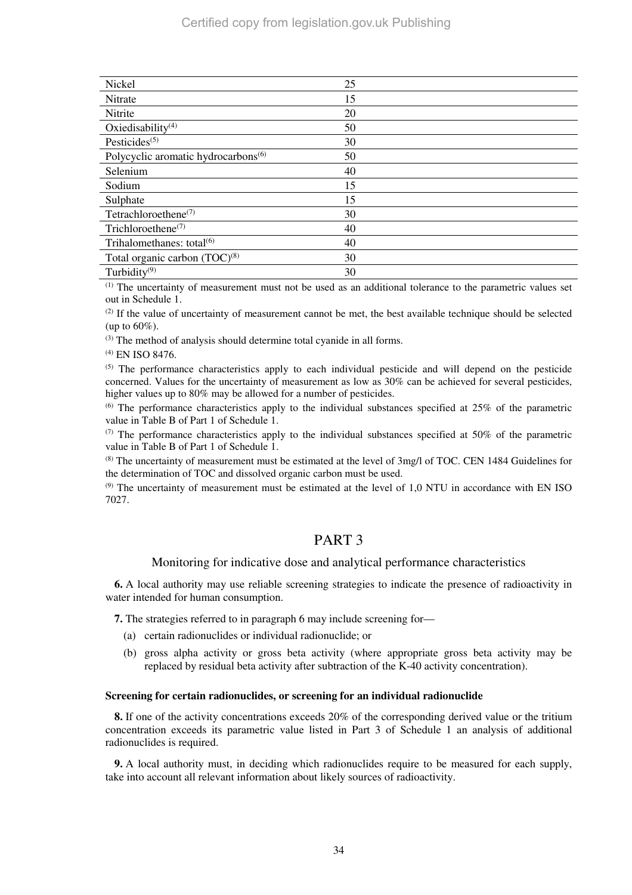| Nickel                                          | 25 |
|-------------------------------------------------|----|
| Nitrate                                         | 15 |
| Nitrite                                         | 20 |
| Oxiedisability <sup>(4)</sup>                   | 50 |
| Pesticides <sup><math>(5)</math></sup>          | 30 |
| Polycyclic aromatic hydrocarbons <sup>(6)</sup> | 50 |
| Selenium                                        | 40 |
| Sodium                                          | 15 |
| Sulphate                                        | 15 |
| Tetrachloroethene <sup>(7)</sup>                | 30 |
| Trichloroethene <sup><math>(7)</math></sup>     | 40 |
| Trihalomethanes: total <sup>(6)</sup>           | 40 |
| Total organic carbon $(TOC)^{(8)}$              | 30 |
| Turbidity $(9)$                                 | 30 |

(1) The uncertainty of measurement must not be used as an additional tolerance to the parametric values set out in Schedule 1.

 $<sup>(2)</sup>$  If the value of uncertainty of measurement cannot be met, the best available technique should be selected</sup> (up to 60%).

 $(3)$  The method of analysis should determine total cyanide in all forms.

(4) EN ISO 8476.

(5) The performance characteristics apply to each individual pesticide and will depend on the pesticide concerned. Values for the uncertainty of measurement as low as 30% can be achieved for several pesticides, higher values up to 80% may be allowed for a number of pesticides.

 $^{(6)}$  The performance characteristics apply to the individual substances specified at 25% of the parametric value in Table B of Part 1 of Schedule 1.

 $(7)$  The performance characteristics apply to the individual substances specified at 50% of the parametric value in Table B of Part 1 of Schedule 1.

(8) The uncertainty of measurement must be estimated at the level of 3mg/l of TOC. CEN 1484 Guidelines for the determination of TOC and dissolved organic carbon must be used.

 $<sup>(9)</sup>$  The uncertainty of measurement must be estimated at the level of 1.0 NTU in accordance with EN ISO</sup> 7027.

# PART 3

#### Monitoring for indicative dose and analytical performance characteristics

**6.** A local authority may use reliable screening strategies to indicate the presence of radioactivity in water intended for human consumption.

**7.** The strategies referred to in paragraph 6 may include screening for—

- (a) certain radionuclides or individual radionuclide; or
- (b) gross alpha activity or gross beta activity (where appropriate gross beta activity may be replaced by residual beta activity after subtraction of the K-40 activity concentration).

#### **Screening for certain radionuclides, or screening for an individual radionuclide**

**8.** If one of the activity concentrations exceeds 20% of the corresponding derived value or the tritium concentration exceeds its parametric value listed in Part 3 of Schedule 1 an analysis of additional radionuclides is required.

**9.** A local authority must, in deciding which radionuclides require to be measured for each supply, take into account all relevant information about likely sources of radioactivity.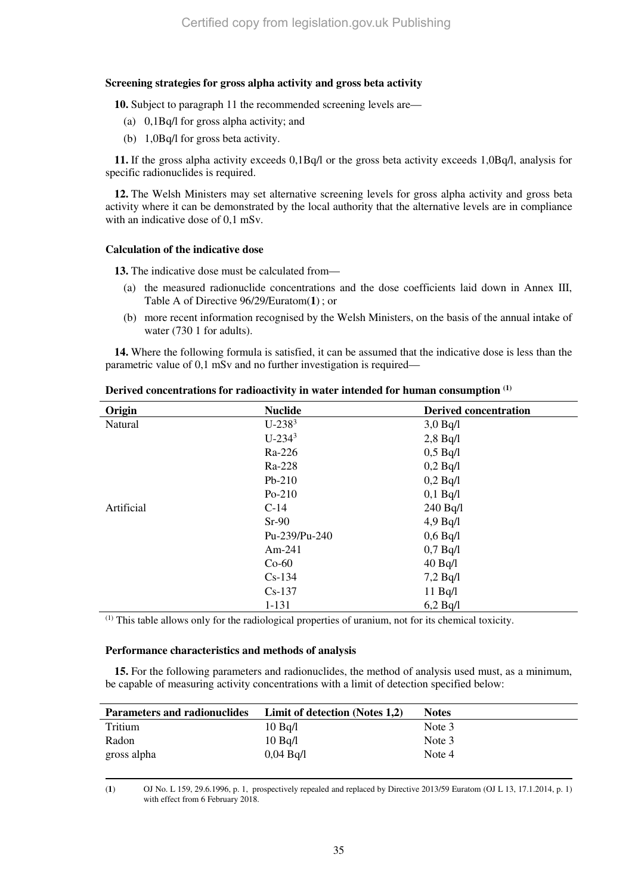## **Screening strategies for gross alpha activity and gross beta activity**

**10.** Subject to paragraph 11 the recommended screening levels are—

- (a) 0,1Bq/l for gross alpha activity; and
- (b) 1,0Bq/l for gross beta activity.

**11.** If the gross alpha activity exceeds 0,1Bq/l or the gross beta activity exceeds 1,0Bq/l, analysis for specific radionuclides is required.

**12.** The Welsh Ministers may set alternative screening levels for gross alpha activity and gross beta activity where it can be demonstrated by the local authority that the alternative levels are in compliance with an indicative dose of 0,1 mSv.

## **Calculation of the indicative dose**

**13.** The indicative dose must be calculated from—

- (a) the measured radionuclide concentrations and the dose coefficients laid down in Annex III, Table A of Directive 96/29/Euratom(**1**) ; or
- (b) more recent information recognised by the Welsh Ministers, on the basis of the annual intake of water (730 1 for adults).

**14.** Where the following formula is satisfied, it can be assumed that the indicative dose is less than the parametric value of 0,1 mSv and no further investigation is required—

| Origin     | <b>Nuclide</b> | <b>Derived concentration</b> |
|------------|----------------|------------------------------|
| Natural    | $U-238^3$      | $3,0$ Bq/l                   |
|            | $U-234^3$      | $2,8$ Bq/l                   |
|            | Ra-226         | $0,5$ Bq/l                   |
|            | Ra-228         | $0,2$ Bq/l                   |
|            | $Pb-210$       | $0,2$ Bq/l                   |
|            | $Po-210$       | $0,1$ Bq/l                   |
| Artificial | $C-14$         | $240$ Bq/l                   |
|            | $Sr-90$        | 4.9 Bq/l                     |
|            | Pu-239/Pu-240  | $0,6$ Bq/l                   |
|            | Am-241         | $0,7$ Bq $/1$                |
|            | $Co-60$        | $40$ Bq/l                    |
|            | $Cs-134$       | $7,2$ Bq/l                   |
|            | $Cs-137$       | $11$ Bq/l                    |
|            | $1 - 131$      | 6,2 Bq/l                     |

**Derived concentrations for radioactivity in water intended for human consumption (1)**

(1) This table allows only for the radiological properties of uranium, not for its chemical toxicity.

#### **Performance characteristics and methods of analysis**

**15.** For the following parameters and radionuclides, the method of analysis used must, as a minimum, be capable of measuring activity concentrations with a limit of detection specified below:

| <b>Parameters and radionuclides</b> | Limit of detection (Notes 1,2) | <b>Notes</b> |
|-------------------------------------|--------------------------------|--------------|
| Tritium                             | $10$ Bg/l                      | Note 3       |
| Radon                               | $10$ Ba/l                      | Note 3       |
| gross alpha                         | 0.04 Bq/l                      | Note 4       |

 $\overline{a}$ 

(**1**) OJ No. L 159, 29.6.1996, p. 1, prospectively repealed and replaced by Directive 2013/59 Euratom (OJ L 13, 17.1.2014, p. 1) with effect from 6 February 2018.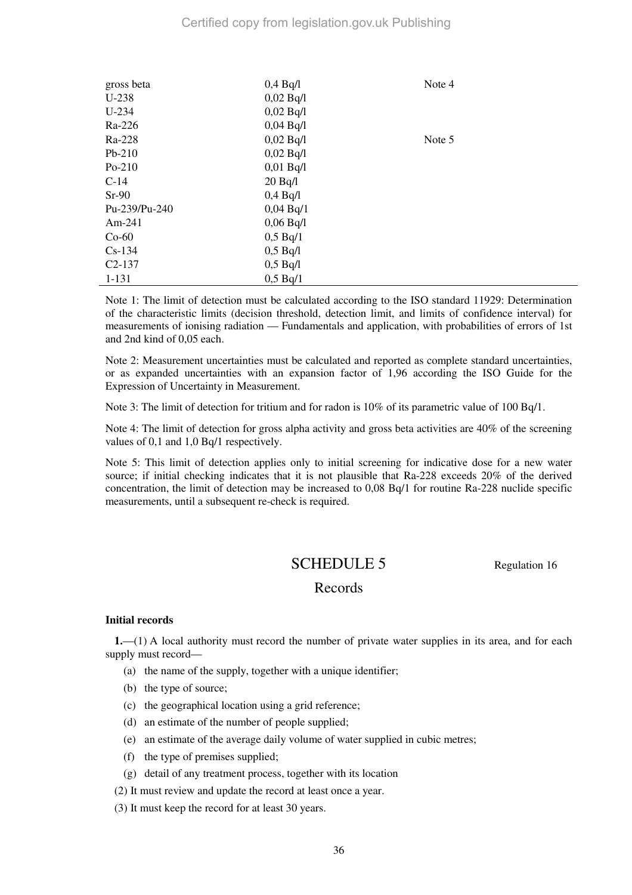| gross beta    | $0,4$ Bq/1    | Note 4 |
|---------------|---------------|--------|
| $U-238$       | 0,02 Bq/l     |        |
| $U-234$       | 0,02 Bq/1     |        |
| Ra-226        | 0,04 Bq/l     |        |
| Ra-228        | 0,02 Bq/l     | Note 5 |
| $Pb-210$      | 0,02 Bq/l     |        |
| $Po-210$      | $0,01$ Bq/l   |        |
| $C-14$        | 20 Bq/l       |        |
| $Sr-90$       | $0,4$ Bq $/1$ |        |
| Pu-239/Pu-240 | 0,04 Bq/1     |        |
| $Am-241$      | 0,06 Bq/l     |        |
| $Co-60$       | 0,5 Bq/1      |        |
| $Cs-134$      | 0,5 Bq/1      |        |
| $C2-137$      | $0,5$ Bq/l    |        |
| $1 - 131$     | 0,5 Bq/1      |        |

Note 1: The limit of detection must be calculated according to the ISO standard 11929: Determination of the characteristic limits (decision threshold, detection limit, and limits of confidence interval) for measurements of ionising radiation — Fundamentals and application, with probabilities of errors of 1st and 2nd kind of 0,05 each.

Note 2: Measurement uncertainties must be calculated and reported as complete standard uncertainties, or as expanded uncertainties with an expansion factor of 1,96 according the ISO Guide for the Expression of Uncertainty in Measurement.

Note 3: The limit of detection for tritium and for radon is 10% of its parametric value of 100 Bq/1.

Note 4: The limit of detection for gross alpha activity and gross beta activities are 40% of the screening values of 0,1 and 1,0 Bq/1 respectively.

Note 5: This limit of detection applies only to initial screening for indicative dose for a new water source; if initial checking indicates that it is not plausible that Ra-228 exceeds 20% of the derived concentration, the limit of detection may be increased to 0,08 Bq/1 for routine Ra-228 nuclide specific measurements, until a subsequent re-check is required.

# SCHEDULE 5 Regulation 16

# Records

#### **Initial records**

**1.**—(1) A local authority must record the number of private water supplies in its area, and for each supply must record—

- (a) the name of the supply, together with a unique identifier;
- (b) the type of source;
- (c) the geographical location using a grid reference;
- (d) an estimate of the number of people supplied;
- (e) an estimate of the average daily volume of water supplied in cubic metres;
- (f) the type of premises supplied;
- (g) detail of any treatment process, together with its location
- (2) It must review and update the record at least once a year.
- (3) It must keep the record for at least 30 years.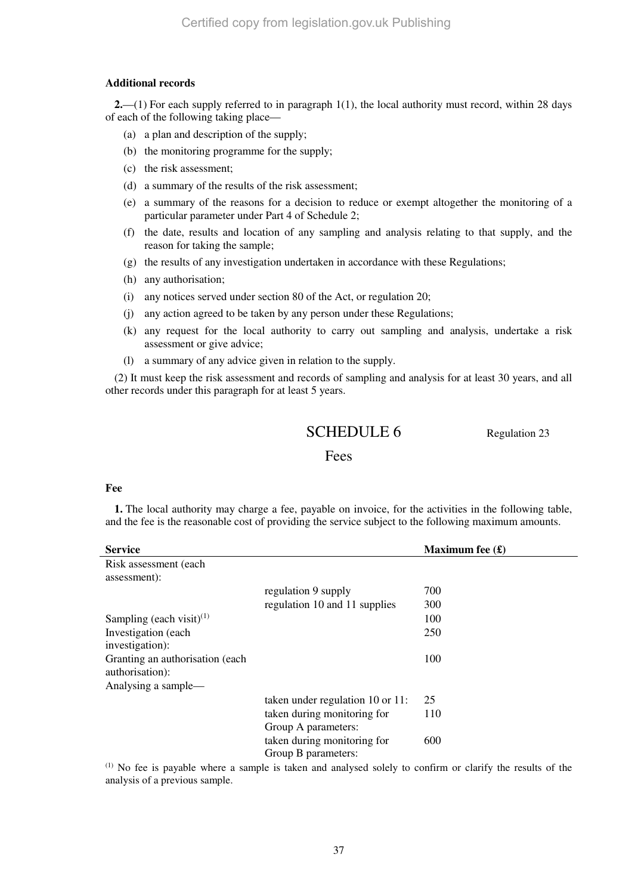### **Additional records**

**2.**—(1) For each supply referred to in paragraph 1(1), the local authority must record, within 28 days of each of the following taking place—

- (a) a plan and description of the supply;
- (b) the monitoring programme for the supply;
- (c) the risk assessment;
- (d) a summary of the results of the risk assessment;
- (e) a summary of the reasons for a decision to reduce or exempt altogether the monitoring of a particular parameter under Part 4 of Schedule 2;
- (f) the date, results and location of any sampling and analysis relating to that supply, and the reason for taking the sample;
- (g) the results of any investigation undertaken in accordance with these Regulations;
- (h) any authorisation;
- (i) any notices served under section 80 of the Act, or regulation 20;
- (j) any action agreed to be taken by any person under these Regulations;
- (k) any request for the local authority to carry out sampling and analysis, undertake a risk assessment or give advice;
- (l) a summary of any advice given in relation to the supply.

(2) It must keep the risk assessment and records of sampling and analysis for at least 30 years, and all other records under this paragraph for at least 5 years.

# SCHEDULE 6 Regulation 23

# Fees

## **Fee**

**1.** The local authority may charge a fee, payable on invoice, for the activities in the following table, and the fee is the reasonable cost of providing the service subject to the following maximum amounts.

| <b>Service</b>                                     |                                  | Maximum fee $(\pounds)$ |
|----------------------------------------------------|----------------------------------|-------------------------|
| Risk assessment (each)<br>assessment):             |                                  |                         |
|                                                    | regulation 9 supply              | 700                     |
|                                                    | regulation 10 and 11 supplies    | 300                     |
| Sampling (each visit) <sup>(1)</sup>               |                                  | 100                     |
| Investigation (each)<br>investigation):            |                                  | 250                     |
| Granting an authorisation (each<br>authorisation): |                                  | 100                     |
| Analysing a sample—                                |                                  |                         |
|                                                    | taken under regulation 10 or 11: | 25                      |
|                                                    | taken during monitoring for      | 110                     |
|                                                    | Group A parameters:              |                         |
|                                                    | taken during monitoring for      | 600                     |
|                                                    | Group B parameters:              |                         |

(1) No fee is payable where a sample is taken and analysed solely to confirm or clarify the results of the analysis of a previous sample.